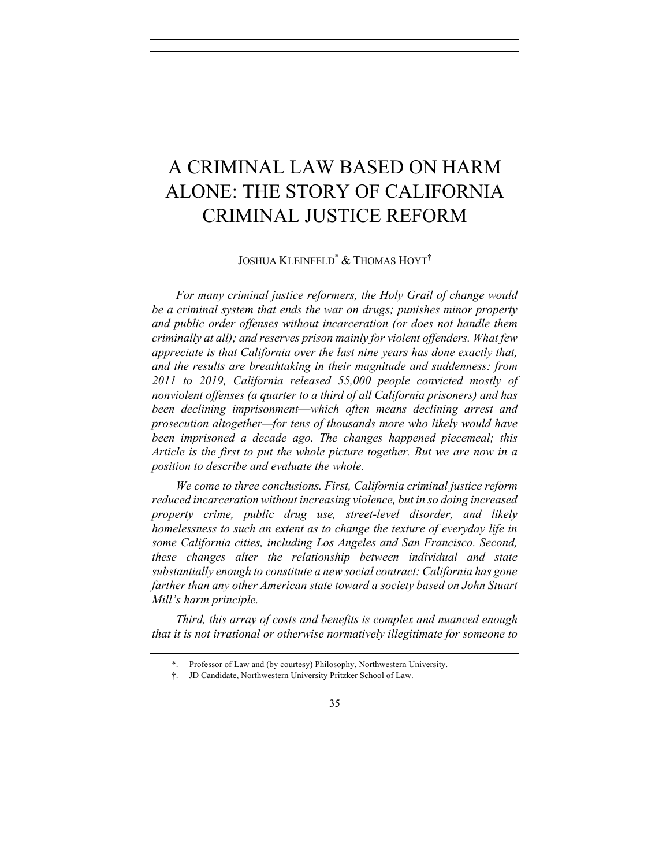# A CRIMINAL LAW BASED ON HARM ALONE: THE STORY OF CALIFORNIA CRIMINAL JUSTICE REFORM

JOSHUA KLEINFELD\* & THOMAS HOYT†

*For many criminal justice reformers, the Holy Grail of change would be a criminal system that ends the war on drugs; punishes minor property and public order offenses without incarceration (or does not handle them criminally at all); and reserves prison mainly for violent offenders. What few appreciate is that California over the last nine years has done exactly that, and the results are breathtaking in their magnitude and suddenness: from 2011 to 2019, California released 55,000 people convicted mostly of nonviolent offenses (a quarter to a third of all California prisoners) and has been declining imprisonment*—*which often means declining arrest and prosecution altogether—for tens of thousands more who likely would have been imprisoned a decade ago. The changes happened piecemeal; this Article is the first to put the whole picture together. But we are now in a position to describe and evaluate the whole.* 

*We come to three conclusions. First, California criminal justice reform reduced incarceration without increasing violence, but in so doing increased property crime, public drug use, street-level disorder, and likely homelessness to such an extent as to change the texture of everyday life in some California cities, including Los Angeles and San Francisco. Second, these changes alter the relationship between individual and state substantially enough to constitute a new social contract: California has gone farther than any other American state toward a society based on John Stuart Mill's harm principle.* 

*Third, this array of costs and benefits is complex and nuanced enough that it is not irrational or otherwise normatively illegitimate for someone to* 

<sup>\*.</sup> Professor of Law and (by courtesy) Philosophy, Northwestern University.

<sup>†.</sup> JD Candidate, Northwestern University Pritzker School of Law.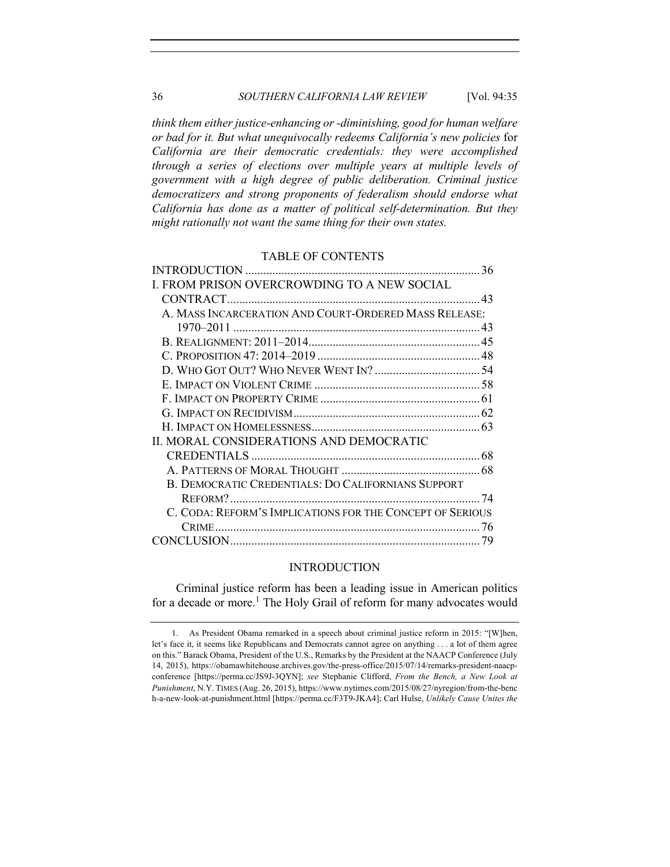# 36 *SOUTHERN CALIFORNIA LAW REVIEW* [Vol. 94:35

*think them either justice-enhancing or -diminishing, good for human welfare or bad for it. But what unequivocally redeems California's new policies* for *California are their democratic credentials: they were accomplished through a series of elections over multiple years at multiple levels of government with a high degree of public deliberation. Criminal justice democratizers and strong proponents of federalism should endorse what California has done as a matter of political self-determination. But they might rationally not want the same thing for their own states.*

# TABLE OF CONTENTS

| I. FROM PRISON OVERCROWDING TO A NEW SOCIAL               |     |
|-----------------------------------------------------------|-----|
|                                                           |     |
| A. MASS INCARCERATION AND COURT-ORDERED MASS RELEASE:     |     |
|                                                           |     |
|                                                           |     |
|                                                           |     |
|                                                           |     |
|                                                           |     |
|                                                           |     |
|                                                           |     |
|                                                           |     |
| II. MORAL CONSIDERATIONS AND DEMOCRATIC                   |     |
|                                                           |     |
|                                                           |     |
| B. DEMOCRATIC CREDENTIALS: DO CALIFORNIANS SUPPORT        |     |
|                                                           | -74 |
| C. CODA: REFORM'S IMPLICATIONS FOR THE CONCEPT OF SERIOUS |     |
|                                                           |     |
|                                                           |     |

# INTRODUCTION

Criminal justice reform has been a leading issue in American politics for a decade or more.<sup>1</sup> The Holy Grail of reform for many advocates would

<sup>1.</sup> As President Obama remarked in a speech about criminal justice reform in 2015: "[W]hen, let's face it, it seems like Republicans and Democrats cannot agree on anything . . . a lot of them agree on this." Barack Obama, President of the U.S., Remarks by the President at the NAACP Conference (July 14, 2015), https://obamawhitehouse.archives.gov/the-press-office/2015/07/14/remarks-president-naacpconference [https://perma.cc/JS9J-3QYN]; *see* Stephanie Clifford, *From the Bench, a New Look at Punishment*, N.Y. TIMES (Aug. 26, 2015), https://www.nytimes.com/2015/08/27/nyregion/from-the-benc h-a-new-look-at-punishment.html [https://perma.cc/F3T9-JKA4]; Carl Hulse, *Unlikely Cause Unites the*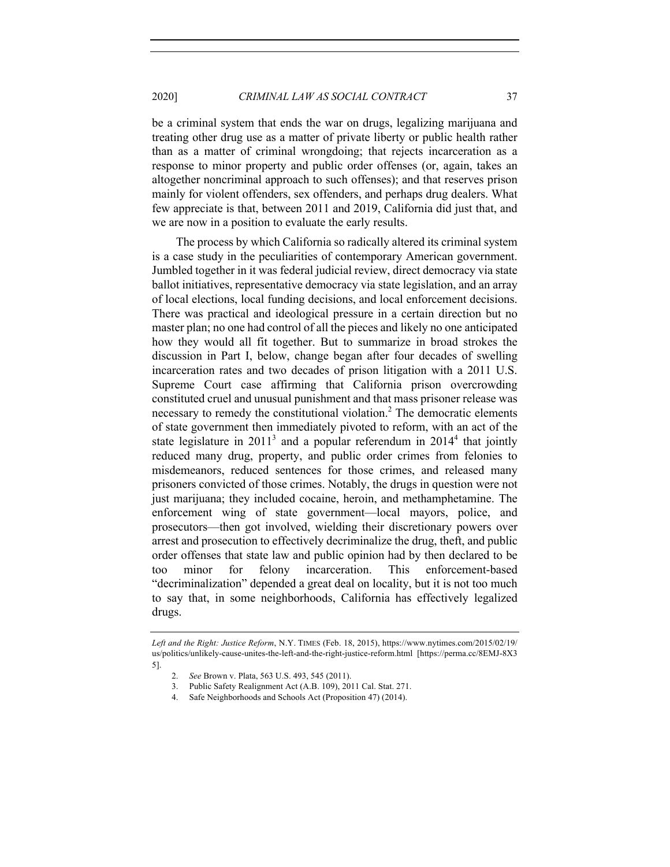be a criminal system that ends the war on drugs, legalizing marijuana and treating other drug use as a matter of private liberty or public health rather than as a matter of criminal wrongdoing; that rejects incarceration as a response to minor property and public order offenses (or, again, takes an altogether noncriminal approach to such offenses); and that reserves prison mainly for violent offenders, sex offenders, and perhaps drug dealers. What few appreciate is that, between 2011 and 2019, California did just that, and we are now in a position to evaluate the early results.

The process by which California so radically altered its criminal system is a case study in the peculiarities of contemporary American government. Jumbled together in it was federal judicial review, direct democracy via state ballot initiatives, representative democracy via state legislation, and an array of local elections, local funding decisions, and local enforcement decisions. There was practical and ideological pressure in a certain direction but no master plan; no one had control of all the pieces and likely no one anticipated how they would all fit together. But to summarize in broad strokes the discussion in Part I, below, change began after four decades of swelling incarceration rates and two decades of prison litigation with a 2011 U.S. Supreme Court case affirming that California prison overcrowding constituted cruel and unusual punishment and that mass prisoner release was necessary to remedy the constitutional violation. <sup>2</sup> The democratic elements of state government then immediately pivoted to reform, with an act of the state legislature in  $2011<sup>3</sup>$  and a popular referendum in  $2014<sup>4</sup>$  that jointly reduced many drug, property, and public order crimes from felonies to misdemeanors, reduced sentences for those crimes, and released many prisoners convicted of those crimes. Notably, the drugs in question were not just marijuana; they included cocaine, heroin, and methamphetamine. The enforcement wing of state government—local mayors, police, and prosecutors—then got involved, wielding their discretionary powers over arrest and prosecution to effectively decriminalize the drug, theft, and public order offenses that state law and public opinion had by then declared to be too minor for felony incarceration. This enforcement-based "decriminalization" depended a great deal on locality, but it is not too much to say that, in some neighborhoods, California has effectively legalized drugs.

*Left and the Right: Justice Reform*, N.Y. TIMES (Feb. 18, 2015), https://www.nytimes.com/2015/02/19/ us/politics/unlikely-cause-unites-the-left-and-the-right-justice-reform.html [https://perma.cc/8EMJ-8X3 5].

<sup>2.</sup> *See* Brown v. Plata, 563 U.S. 493, 545 (2011).

<sup>3.</sup> Public Safety Realignment Act (A.B. 109), 2011 Cal. Stat. 271.

<sup>4.</sup> Safe Neighborhoods and Schools Act (Proposition 47) (2014).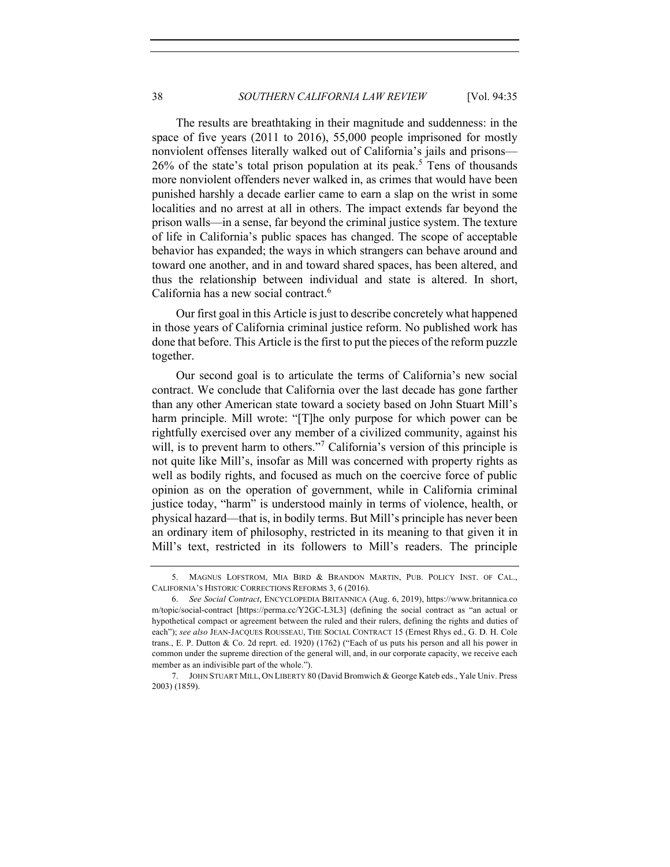The results are breathtaking in their magnitude and suddenness: in the space of five years (2011 to 2016), 55,000 people imprisoned for mostly nonviolent offenses literally walked out of California's jails and prisons— 26% of the state's total prison population at its peak. <sup>5</sup> Tens of thousands more nonviolent offenders never walked in, as crimes that would have been punished harshly a decade earlier came to earn a slap on the wrist in some localities and no arrest at all in others. The impact extends far beyond the prison walls—in a sense, far beyond the criminal justice system. The texture of life in California's public spaces has changed. The scope of acceptable behavior has expanded; the ways in which strangers can behave around and toward one another, and in and toward shared spaces, has been altered, and thus the relationship between individual and state is altered. In short, California has a new social contract.<sup>6</sup>

Our first goal in this Article is just to describe concretely what happened in those years of California criminal justice reform. No published work has done that before. This Article is the first to put the pieces of the reform puzzle together.

Our second goal is to articulate the terms of California's new social contract. We conclude that California over the last decade has gone farther than any other American state toward a society based on John Stuart Mill's harm principle. Mill wrote: "[T]he only purpose for which power can be rightfully exercised over any member of a civilized community, against his will, is to prevent harm to others."<sup>7</sup> California's version of this principle is not quite like Mill's, insofar as Mill was concerned with property rights as well as bodily rights, and focused as much on the coercive force of public opinion as on the operation of government, while in California criminal justice today, "harm" is understood mainly in terms of violence, health, or physical hazard—that is, in bodily terms. But Mill's principle has never been an ordinary item of philosophy, restricted in its meaning to that given it in Mill's text, restricted in its followers to Mill's readers. The principle

<sup>5.</sup> MAGNUS LOFSTROM, MIA BIRD & BRANDON MARTIN, PUB. POLICY INST. OF CAL., CALIFORNIA'S HISTORIC CORRECTIONS REFORMS 3, 6 (2016).

<sup>6.</sup> *See Social Contract*, ENCYCLOPEDIA BRITANNICA (Aug. 6, 2019), https://www.britannica.co m/topic/social-contract [https://perma.cc/Y2GC-L3L3] (defining the social contract as "an actual or hypothetical compact or agreement between the ruled and their rulers, defining the rights and duties of each"); *see also* JEAN-JACQUES ROUSSEAU, THE SOCIAL CONTRACT 15 (Ernest Rhys ed., G. D. H. Cole trans., E. P. Dutton & Co. 2d reprt. ed. 1920) (1762) ("Each of us puts his person and all his power in common under the supreme direction of the general will, and, in our corporate capacity, we receive each member as an indivisible part of the whole.").

<sup>7.</sup> JOHN STUART MILL, ON LIBERTY 80 (David Bromwich & George Kateb eds., Yale Univ. Press 2003) (1859).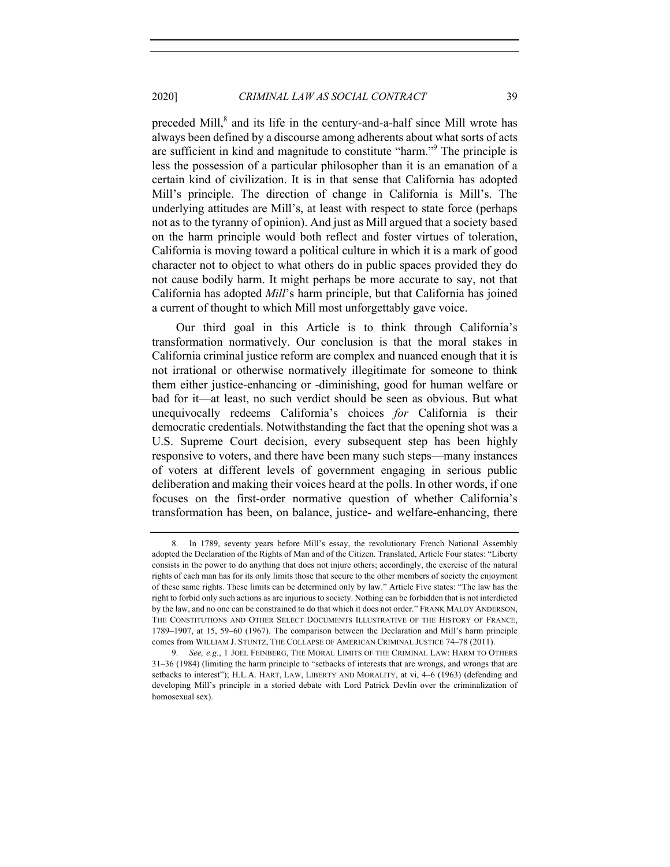preceded Mill,<sup>8</sup> and its life in the century-and-a-half since Mill wrote has always been defined by a discourse among adherents about what sorts of acts are sufficient in kind and magnitude to constitute "harm."9 The principle is less the possession of a particular philosopher than it is an emanation of a certain kind of civilization. It is in that sense that California has adopted Mill's principle. The direction of change in California is Mill's. The underlying attitudes are Mill's, at least with respect to state force (perhaps not as to the tyranny of opinion). And just as Mill argued that a society based on the harm principle would both reflect and foster virtues of toleration, California is moving toward a political culture in which it is a mark of good character not to object to what others do in public spaces provided they do not cause bodily harm. It might perhaps be more accurate to say, not that California has adopted *Mill*'s harm principle, but that California has joined a current of thought to which Mill most unforgettably gave voice.

Our third goal in this Article is to think through California's transformation normatively. Our conclusion is that the moral stakes in California criminal justice reform are complex and nuanced enough that it is not irrational or otherwise normatively illegitimate for someone to think them either justice-enhancing or -diminishing, good for human welfare or bad for it—at least, no such verdict should be seen as obvious. But what unequivocally redeems California's choices *for* California is their democratic credentials. Notwithstanding the fact that the opening shot was a U.S. Supreme Court decision, every subsequent step has been highly responsive to voters, and there have been many such steps—many instances of voters at different levels of government engaging in serious public deliberation and making their voices heard at the polls. In other words, if one focuses on the first-order normative question of whether California's transformation has been, on balance, justice- and welfare-enhancing, there

<sup>8.</sup> In 1789, seventy years before Mill's essay, the revolutionary French National Assembly adopted the Declaration of the Rights of Man and of the Citizen. Translated, Article Four states: "Liberty consists in the power to do anything that does not injure others; accordingly, the exercise of the natural rights of each man has for its only limits those that secure to the other members of society the enjoyment of these same rights. These limits can be determined only by law." Article Five states: "The law has the right to forbid only such actions as are injurious to society. Nothing can be forbidden that is not interdicted by the law, and no one can be constrained to do that which it does not order." FRANK MALOY ANDERSON, THE CONSTITUTIONS AND OTHER SELECT DOCUMENTS ILLUSTRATIVE OF THE HISTORY OF FRANCE, 1789–1907, at 15, 59–60 (1967). The comparison between the Declaration and Mill's harm principle comes from WILLIAM J. STUNTZ, THE COLLAPSE OF AMERICAN CRIMINAL JUSTICE 74–78 (2011).

<sup>9.</sup> *See, e.g.*, 1 JOEL FEINBERG, THE MORAL LIMITS OF THE CRIMINAL LAW: HARM TO OTHERS 31–36 (1984) (limiting the harm principle to "setbacks of interests that are wrongs, and wrongs that are setbacks to interest"); H.L.A. HART, LAW, LIBERTY AND MORALITY, at vi, 4–6 (1963) (defending and developing Mill's principle in a storied debate with Lord Patrick Devlin over the criminalization of homosexual sex).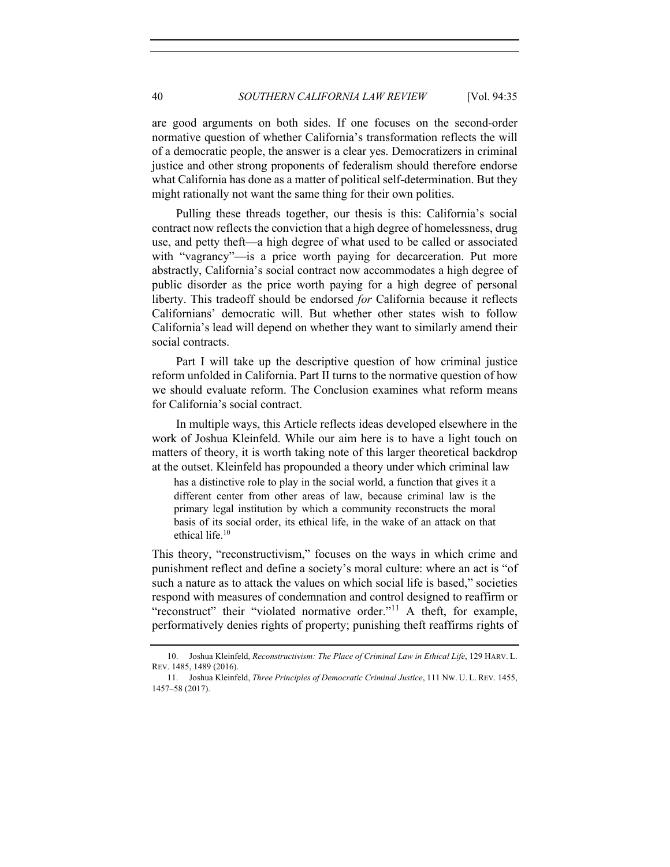are good arguments on both sides. If one focuses on the second-order normative question of whether California's transformation reflects the will of a democratic people, the answer is a clear yes. Democratizers in criminal justice and other strong proponents of federalism should therefore endorse what California has done as a matter of political self-determination. But they might rationally not want the same thing for their own polities.

Pulling these threads together, our thesis is this: California's social contract now reflects the conviction that a high degree of homelessness, drug use, and petty theft—a high degree of what used to be called or associated with "vagrancy"—is a price worth paying for decarceration. Put more abstractly, California's social contract now accommodates a high degree of public disorder as the price worth paying for a high degree of personal liberty. This tradeoff should be endorsed *for* California because it reflects Californians' democratic will. But whether other states wish to follow California's lead will depend on whether they want to similarly amend their social contracts.

Part I will take up the descriptive question of how criminal justice reform unfolded in California. Part II turns to the normative question of how we should evaluate reform. The Conclusion examines what reform means for California's social contract.

In multiple ways, this Article reflects ideas developed elsewhere in the work of Joshua Kleinfeld. While our aim here is to have a light touch on matters of theory, it is worth taking note of this larger theoretical backdrop at the outset. Kleinfeld has propounded a theory under which criminal law

has a distinctive role to play in the social world, a function that gives it a different center from other areas of law, because criminal law is the primary legal institution by which a community reconstructs the moral basis of its social order, its ethical life, in the wake of an attack on that ethical life. 10

This theory, "reconstructivism," focuses on the ways in which crime and punishment reflect and define a society's moral culture: where an act is "of such a nature as to attack the values on which social life is based," societies respond with measures of condemnation and control designed to reaffirm or "reconstruct" their "violated normative order."<sup>11</sup> A theft, for example, performatively denies rights of property; punishing theft reaffirms rights of

<sup>10.</sup> Joshua Kleinfeld, *Reconstructivism: The Place of Criminal Law in Ethical Life*, 129 HARV. L. REV. 1485, 1489 (2016).

<sup>11.</sup> Joshua Kleinfeld, *Three Principles of Democratic Criminal Justice*, 111 NW. U. L. REV. 1455, 1457–58 (2017).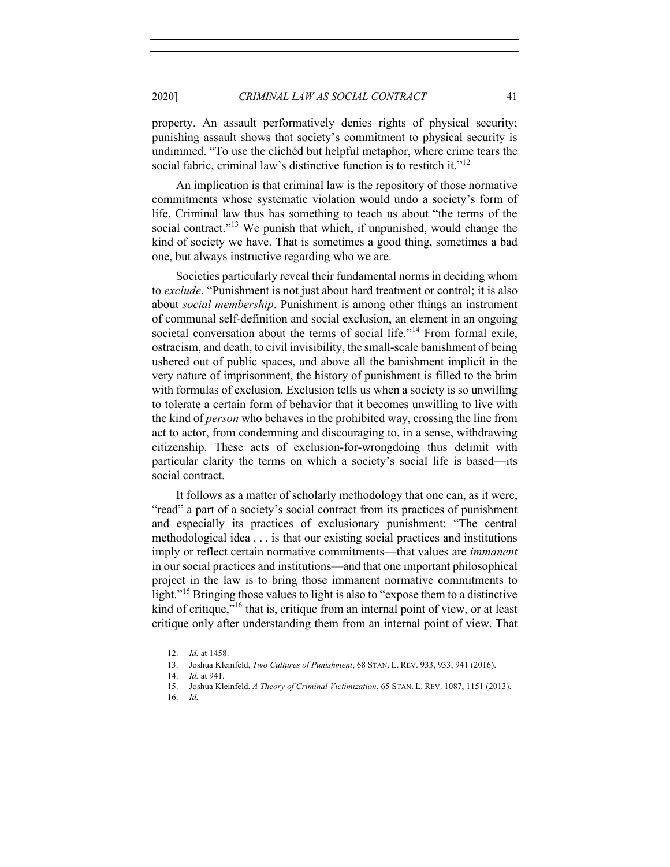property. An assault performatively denies rights of physical security; punishing assault shows that society's commitment to physical security is undimmed. "To use the clichéd but helpful metaphor, where crime tears the social fabric, criminal law's distinctive function is to restitch it."<sup>12</sup>

An implication is that criminal law is the repository of those normative commitments whose systematic violation would undo a society's form of life. Criminal law thus has something to teach us about "the terms of the social contract."<sup>13</sup> We punish that which, if unpunished, would change the kind of society we have. That is sometimes a good thing, sometimes a bad one, but always instructive regarding who we are.

Societies particularly reveal their fundamental norms in deciding whom to *exclude*. "Punishment is not just about hard treatment or control; it is also about *social membership*. Punishment is among other things an instrument of communal self-definition and social exclusion, an element in an ongoing societal conversation about the terms of social life."<sup>14</sup> From formal exile, ostracism, and death, to civil invisibility, the small-scale banishment of being ushered out of public spaces, and above all the banishment implicit in the very nature of imprisonment, the history of punishment is filled to the brim with formulas of exclusion. Exclusion tells us when a society is so unwilling to tolerate a certain form of behavior that it becomes unwilling to live with the kind of *person* who behaves in the prohibited way, crossing the line from act to actor, from condemning and discouraging to, in a sense, withdrawing citizenship. These acts of exclusion-for-wrongdoing thus delimit with particular clarity the terms on which a society's social life is based—its social contract.

It follows as a matter of scholarly methodology that one can, as it were, "read" a part of a society's social contract from its practices of punishment and especially its practices of exclusionary punishment: "The central methodological idea . . . is that our existing social practices and institutions imply or reflect certain normative commitments—that values are *immanent* in our social practices and institutions—and that one important philosophical project in the law is to bring those immanent normative commitments to light."<sup>15</sup> Bringing those values to light is also to "expose them to a distinctive" kind of critique,<sup>"16</sup> that is, critique from an internal point of view, or at least critique only after understanding them from an internal point of view. That

<sup>12.</sup> *Id.* at 1458.

<sup>13.</sup> Joshua Kleinfeld, *Two Cultures of Punishment*, 68 STAN. L. REV. 933, 933, 941 (2016).

<sup>14.</sup> *Id.* at 941.

<sup>15.</sup> Joshua Kleinfeld, *A Theory of Criminal Victimization*, 65 STAN. L. REV. 1087, 1151 (2013).

<sup>16.</sup> *Id.*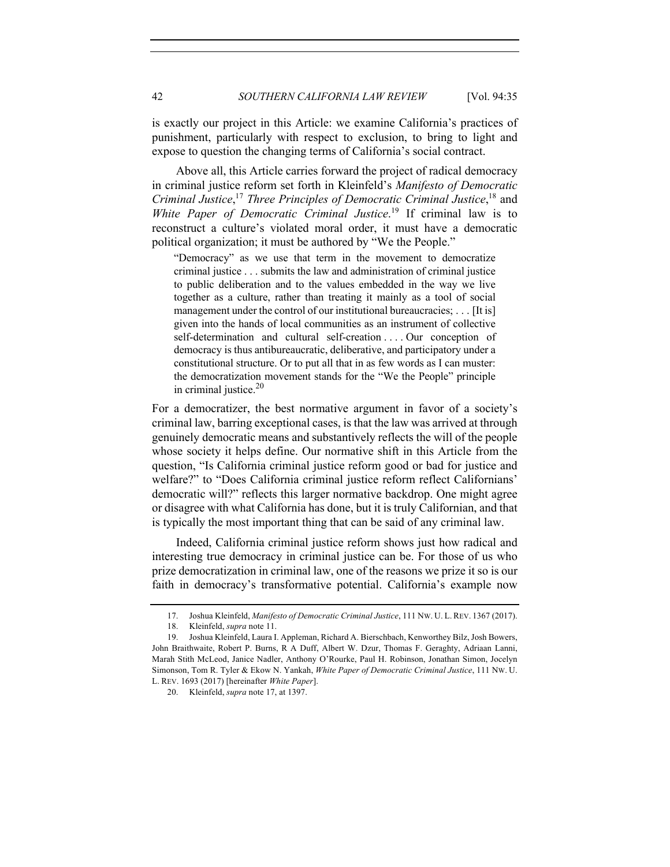is exactly our project in this Article: we examine California's practices of punishment, particularly with respect to exclusion, to bring to light and expose to question the changing terms of California's social contract.

Above all, this Article carries forward the project of radical democracy in criminal justice reform set forth in Kleinfeld's *Manifesto of Democratic Criminal Justice*, <sup>17</sup> *Three Principles of Democratic Criminal Justice*, <sup>18</sup> and *White Paper of Democratic Criminal Justice*. <sup>19</sup> If criminal law is to reconstruct a culture's violated moral order, it must have a democratic political organization; it must be authored by "We the People."

"Democracy" as we use that term in the movement to democratize criminal justice . . . submits the law and administration of criminal justice to public deliberation and to the values embedded in the way we live together as a culture, rather than treating it mainly as a tool of social management under the control of our institutional bureaucracies; . . . [It is] given into the hands of local communities as an instrument of collective self-determination and cultural self-creation . . . . Our conception of democracy is thus antibureaucratic, deliberative, and participatory under a constitutional structure. Or to put all that in as few words as I can muster: the democratization movement stands for the "We the People" principle in criminal justice. $20$ 

For a democratizer, the best normative argument in favor of a society's criminal law, barring exceptional cases, is that the law was arrived at through genuinely democratic means and substantively reflects the will of the people whose society it helps define. Our normative shift in this Article from the question, "Is California criminal justice reform good or bad for justice and welfare?" to "Does California criminal justice reform reflect Californians' democratic will?" reflects this larger normative backdrop. One might agree or disagree with what California has done, but it is truly Californian, and that is typically the most important thing that can be said of any criminal law.

Indeed, California criminal justice reform shows just how radical and interesting true democracy in criminal justice can be. For those of us who prize democratization in criminal law, one of the reasons we prize it so is our faith in democracy's transformative potential. California's example now

<sup>17.</sup> Joshua Kleinfeld, *Manifesto of Democratic Criminal Justice*, 111 NW. U. L. REV. 1367 (2017).

<sup>18.</sup> Kleinfeld, *supra* note 11.

<sup>19.</sup> Joshua Kleinfeld, Laura I. Appleman, Richard A. Bierschbach, Kenworthey Bilz, Josh Bowers, John Braithwaite, Robert P. Burns, R A Duff, Albert W. Dzur, Thomas F. Geraghty, Adriaan Lanni, Marah Stith McLeod, Janice Nadler, Anthony O'Rourke, Paul H. Robinson, Jonathan Simon, Jocelyn Simonson, Tom R. Tyler & Ekow N. Yankah, *White Paper of Democratic Criminal Justice*, 111 NW. U. L. REV. 1693 (2017) [hereinafter *White Paper*].

<sup>20.</sup> Kleinfeld, *supra* note 17, at 1397.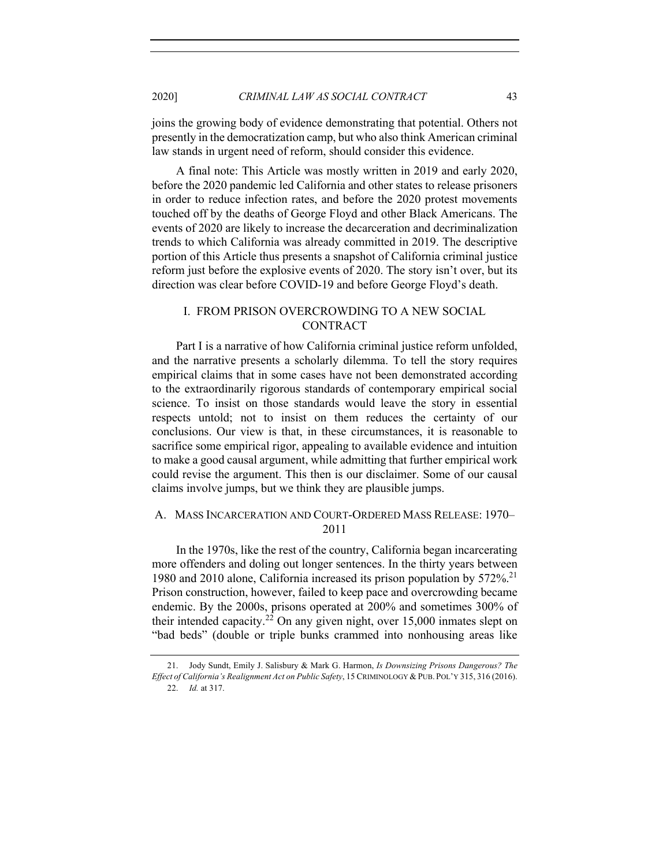joins the growing body of evidence demonstrating that potential. Others not presently in the democratization camp, but who also think American criminal law stands in urgent need of reform, should consider this evidence.

A final note: This Article was mostly written in 2019 and early 2020, before the 2020 pandemic led California and other states to release prisoners in order to reduce infection rates, and before the 2020 protest movements touched off by the deaths of George Floyd and other Black Americans. The events of 2020 are likely to increase the decarceration and decriminalization trends to which California was already committed in 2019. The descriptive portion of this Article thus presents a snapshot of California criminal justice reform just before the explosive events of 2020. The story isn't over, but its direction was clear before COVID-19 and before George Floyd's death.

# I. FROM PRISON OVERCROWDING TO A NEW SOCIAL CONTRACT

Part I is a narrative of how California criminal justice reform unfolded, and the narrative presents a scholarly dilemma. To tell the story requires empirical claims that in some cases have not been demonstrated according to the extraordinarily rigorous standards of contemporary empirical social science. To insist on those standards would leave the story in essential respects untold; not to insist on them reduces the certainty of our conclusions. Our view is that, in these circumstances, it is reasonable to sacrifice some empirical rigor, appealing to available evidence and intuition to make a good causal argument, while admitting that further empirical work could revise the argument. This then is our disclaimer. Some of our causal claims involve jumps, but we think they are plausible jumps.

# A. MASS INCARCERATION AND COURT-ORDERED MASS RELEASE: 1970– 2011

In the 1970s, like the rest of the country, California began incarcerating more offenders and doling out longer sentences. In the thirty years between 1980 and 2010 alone, California increased its prison population by 572%.<sup>21</sup> Prison construction, however, failed to keep pace and overcrowding became endemic. By the 2000s, prisons operated at 200% and sometimes 300% of their intended capacity.<sup>22</sup> On any given night, over 15,000 inmates slept on "bad beds" (double or triple bunks crammed into nonhousing areas like

<sup>21.</sup> Jody Sundt, Emily J. Salisbury & Mark G. Harmon, *Is Downsizing Prisons Dangerous? The Effect of California's Realignment Act on Public Safety*, 15 CRIMINOLOGY & PUB. POL'Y 315, 316 (2016). 22. *Id.* at 317.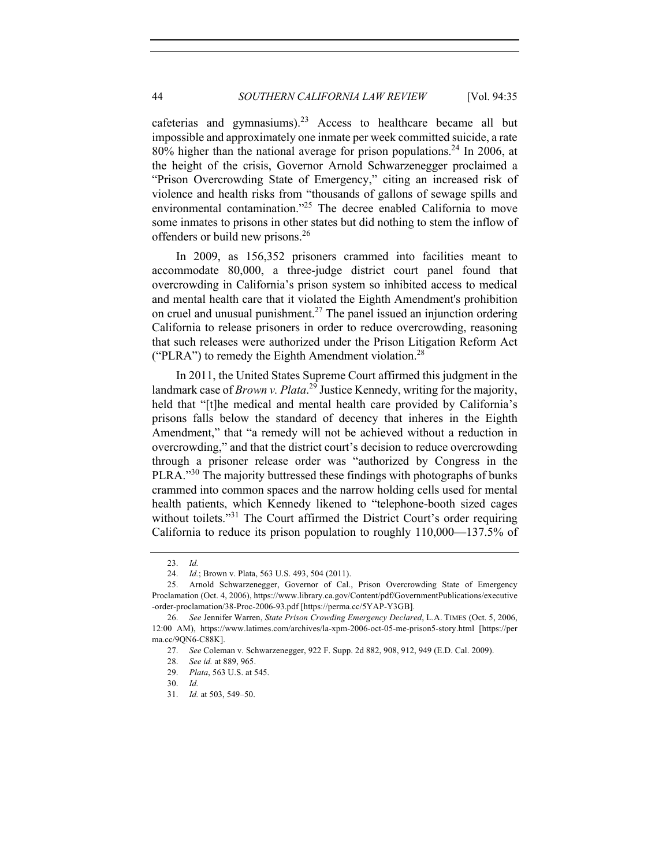cafeterias and gymnasiums).<sup>23</sup> Access to healthcare became all but impossible and approximately one inmate per week committed suicide, a rate 80% higher than the national average for prison populations.<sup>24</sup> In 2006, at the height of the crisis, Governor Arnold Schwarzenegger proclaimed a "Prison Overcrowding State of Emergency," citing an increased risk of violence and health risks from "thousands of gallons of sewage spills and environmental contamination."<sup>25</sup> The decree enabled California to move some inmates to prisons in other states but did nothing to stem the inflow of offenders or build new prisons.<sup>26</sup>

In 2009, as 156,352 prisoners crammed into facilities meant to accommodate 80,000, a three-judge district court panel found that overcrowding in California's prison system so inhibited access to medical and mental health care that it violated the Eighth Amendment's prohibition on cruel and unusual punishment.<sup>27</sup> The panel issued an injunction ordering California to release prisoners in order to reduce overcrowding, reasoning that such releases were authorized under the Prison Litigation Reform Act ("PLRA") to remedy the Eighth Amendment violation.<sup>28</sup>

In 2011, the United States Supreme Court affirmed this judgment in the landmark case of *Brown v. Plata*. <sup>29</sup> Justice Kennedy, writing for the majority, held that "[t]he medical and mental health care provided by California's prisons falls below the standard of decency that inheres in the Eighth Amendment," that "a remedy will not be achieved without a reduction in overcrowding," and that the district court's decision to reduce overcrowding through a prisoner release order was "authorized by Congress in the PLRA."<sup>30</sup> The majority buttressed these findings with photographs of bunks crammed into common spaces and the narrow holding cells used for mental health patients, which Kennedy likened to "telephone-booth sized cages without toilets."<sup>31</sup> The Court affirmed the District Court's order requiring California to reduce its prison population to roughly 110,000—137.5% of

<sup>23.</sup> *Id.*

<sup>24.</sup> *Id.*; Brown v. Plata, 563 U.S. 493, 504 (2011).

<sup>25.</sup> Arnold Schwarzenegger, Governor of Cal., Prison Overcrowding State of Emergency Proclamation (Oct. 4, 2006), https://www.library.ca.gov/Content/pdf/GovernmentPublications/executive -order-proclamation/38-Proc-2006-93.pdf [https://perma.cc/5YAP-Y3GB].

<sup>26.</sup> *See* Jennifer Warren, *State Prison Crowding Emergency Declared*, L.A. TIMES (Oct. 5, 2006, 12:00 AM), https://www.latimes.com/archives/la-xpm-2006-oct-05-me-prison5-story.html [https://per ma.cc/9QN6-C88K].

<sup>27.</sup> *See* Coleman v. Schwarzenegger, 922 F. Supp. 2d 882, 908, 912, 949 (E.D. Cal. 2009).

<sup>28.</sup> *See id.* at 889, 965.

<sup>29.</sup> *Plata*, 563 U.S. at 545.

<sup>30.</sup> *Id.*

<sup>31.</sup> *Id.* at 503, 549–50.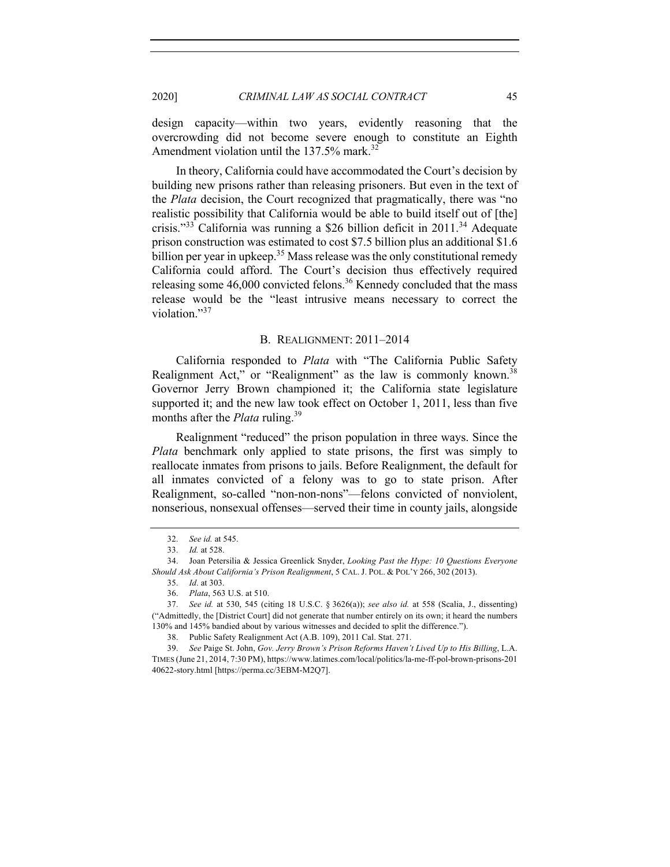design capacity—within two years, evidently reasoning that the overcrowding did not become severe enough to constitute an Eighth Amendment violation until the 137.5% mark.<sup>32</sup>

In theory, California could have accommodated the Court's decision by building new prisons rather than releasing prisoners. But even in the text of the *Plata* decision, the Court recognized that pragmatically, there was "no realistic possibility that California would be able to build itself out of [the] crisis."<sup>33</sup> California was running a \$26 billion deficit in  $2011$ .<sup>34</sup> Adequate prison construction was estimated to cost \$7.5 billion plus an additional \$1.6 billion per year in upkeep.<sup>35</sup> Mass release was the only constitutional remedy California could afford. The Court's decision thus effectively required releasing some  $46,000$  convicted felons.<sup>36</sup> Kennedy concluded that the mass release would be the "least intrusive means necessary to correct the violation."37

#### B. REALIGNMENT: 2011–2014

California responded to *Plata* with "The California Public Safety Realignment Act," or "Realignment" as the law is commonly known.<sup>38</sup> Governor Jerry Brown championed it; the California state legislature supported it; and the new law took effect on October 1, 2011, less than five months after the *Plata* ruling.<sup>39</sup>

Realignment "reduced" the prison population in three ways. Since the *Plata* benchmark only applied to state prisons, the first was simply to reallocate inmates from prisons to jails. Before Realignment, the default for all inmates convicted of a felony was to go to state prison. After Realignment, so-called "non-non-nons"—felons convicted of nonviolent, nonserious, nonsexual offenses—served their time in county jails, alongside

<sup>32.</sup> *See id.* at 545.

<sup>33.</sup> *Id.* at 528.

<sup>34.</sup> Joan Petersilia & Jessica Greenlick Snyder, *Looking Past the Hype: 10 Questions Everyone Should Ask About California's Prison Realignment*, 5 CAL. J. POL. & POL'Y 266, 302 (2013).

<sup>35.</sup> *Id*. at 303.

<sup>36.</sup> *Plata*, 563 U.S. at 510.

<sup>37.</sup> *See id.* at 530, 545 (citing 18 U.S.C. § 3626(a)); *see also id.* at 558 (Scalia, J., dissenting) ("Admittedly, the [District Court] did not generate that number entirely on its own; it heard the numbers 130% and 145% bandied about by various witnesses and decided to split the difference.").

<sup>38.</sup> Public Safety Realignment Act (A.B. 109), 2011 Cal. Stat. 271.

<sup>39.</sup> *See* Paige St. John, *Gov. Jerry Brown's Prison Reforms Haven't Lived Up to His Billing*, L.A. TIMES (June 21, 2014, 7:30 PM), https://www.latimes.com/local/politics/la-me-ff-pol-brown-prisons-201 40622-story.html [https://perma.cc/3EBM-M2Q7].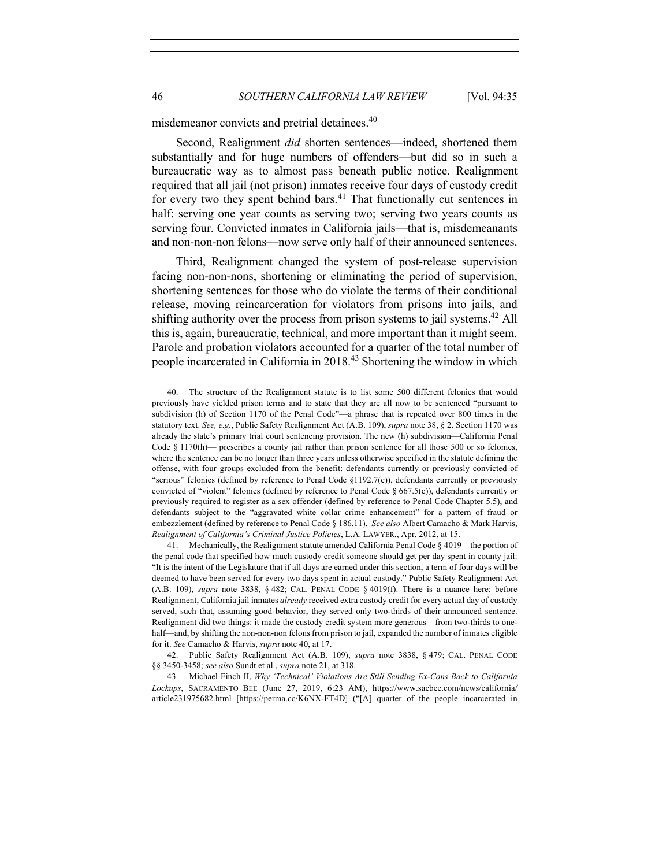misdemeanor convicts and pretrial detainees.<sup>40</sup>

Second, Realignment *did* shorten sentences—indeed, shortened them substantially and for huge numbers of offenders—but did so in such a bureaucratic way as to almost pass beneath public notice. Realignment required that all jail (not prison) inmates receive four days of custody credit for every two they spent behind bars.<sup>41</sup> That functionally cut sentences in half: serving one year counts as serving two; serving two years counts as serving four. Convicted inmates in California jails—that is, misdemeanants and non-non-non felons—now serve only half of their announced sentences.

Third, Realignment changed the system of post-release supervision facing non-non-nons, shortening or eliminating the period of supervision, shortening sentences for those who do violate the terms of their conditional release, moving reincarceration for violators from prisons into jails, and shifting authority over the process from prison systems to jail systems.<sup>42</sup> All this is, again, bureaucratic, technical, and more important than it might seem. Parole and probation violators accounted for a quarter of the total number of people incarcerated in California in 2018.<sup>43</sup> Shortening the window in which

<sup>40.</sup> The structure of the Realignment statute is to list some 500 different felonies that would previously have yielded prison terms and to state that they are all now to be sentenced "pursuant to subdivision (h) of Section 1170 of the Penal Code"—a phrase that is repeated over 800 times in the statutory text. *See, e.g.*, Public Safety Realignment Act (A.B. 109), *supra* note 38, § 2. Section 1170 was already the state's primary trial court sentencing provision. The new (h) subdivision—California Penal Code  $\S$  1170(h)— prescribes a county jail rather than prison sentence for all those 500 or so felonies, where the sentence can be no longer than three years unless otherwise specified in the statute defining the offense, with four groups excluded from the benefit: defendants currently or previously convicted of "serious" felonies (defined by reference to Penal Code §1192.7(c)), defendants currently or previously convicted of "violent" felonies (defined by reference to Penal Code § 667.5(c)), defendants currently or previously required to register as a sex offender (defined by reference to Penal Code Chapter 5.5), and defendants subject to the "aggravated white collar crime enhancement" for a pattern of fraud or embezzlement (defined by reference to Penal Code § 186.11). *See also* Albert Camacho & Mark Harvis, *Realignment of California's Criminal Justice Policies*, L.A. LAWYER., Apr. 2012, at 15.

<sup>41.</sup> Mechanically, the Realignment statute amended California Penal Code § 4019—the portion of the penal code that specified how much custody credit someone should get per day spent in county jail: "It is the intent of the Legislature that if all days are earned under this section, a term of four days will be deemed to have been served for every two days spent in actual custody." Public Safety Realignment Act (A.B. 109), *supra* note 3838, § 482; CAL. PENAL CODE § 4019(f). There is a nuance here: before Realignment, California jail inmates *already* received extra custody credit for every actual day of custody served, such that, assuming good behavior, they served only two-thirds of their announced sentence. Realignment did two things: it made the custody credit system more generous—from two-thirds to onehalf—and, by shifting the non-non-non felons from prison to jail, expanded the number of inmates eligible for it. *See* Camacho & Harvis, *supra* note 40, at 17.

<sup>42.</sup> Public Safety Realignment Act (A.B. 109), *supra* note 3838, § 479; CAL. PENAL CODE §§ 3450-3458; *see also* Sundt et al., *supra* note 21, at 318.

<sup>43.</sup> Michael Finch II, *Why 'Technical' Violations Are Still Sending Ex-Cons Back to California Lockups*, SACRAMENTO BEE (June 27, 2019, 6:23 AM), https://www.sacbee.com/news/california/ article231975682.html [https://perma.cc/K6NX-FT4D] ("[A] quarter of the people incarcerated in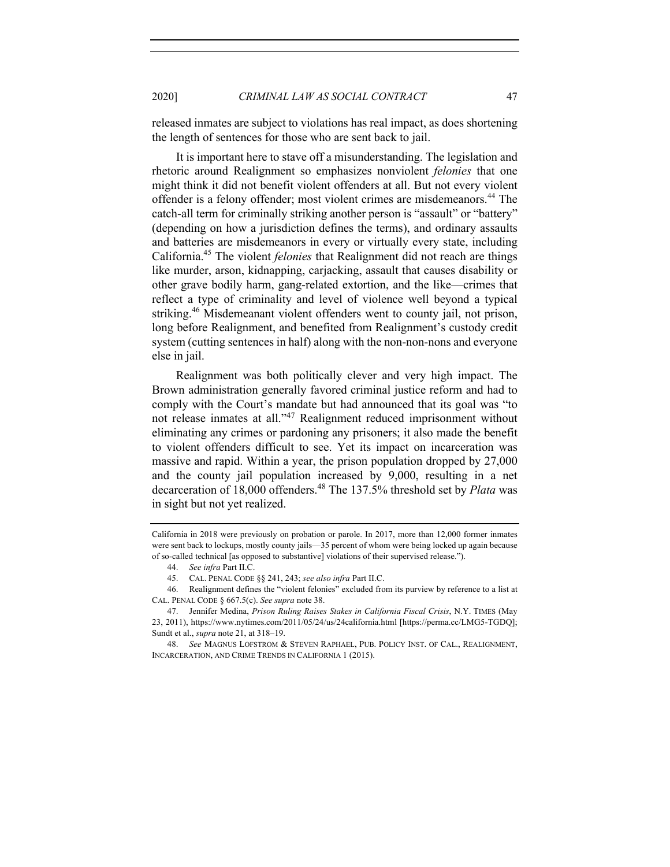released inmates are subject to violations has real impact, as does shortening the length of sentences for those who are sent back to jail.

It is important here to stave off a misunderstanding. The legislation and rhetoric around Realignment so emphasizes nonviolent *felonies* that one might think it did not benefit violent offenders at all. But not every violent offender is a felony offender; most violent crimes are misdemeanors.<sup>44</sup> The catch-all term for criminally striking another person is "assault" or "battery" (depending on how a jurisdiction defines the terms), and ordinary assaults and batteries are misdemeanors in every or virtually every state, including California. <sup>45</sup> The violent *felonies* that Realignment did not reach are things like murder, arson, kidnapping, carjacking, assault that causes disability or other grave bodily harm, gang-related extortion, and the like—crimes that reflect a type of criminality and level of violence well beyond a typical striking.<sup>46</sup> Misdemeanant violent offenders went to county jail, not prison, long before Realignment, and benefited from Realignment's custody credit system (cutting sentences in half) along with the non-non-nons and everyone else in jail.

Realignment was both politically clever and very high impact. The Brown administration generally favored criminal justice reform and had to comply with the Court's mandate but had announced that its goal was "to not release inmates at all."<sup>47</sup> Realignment reduced imprisonment without eliminating any crimes or pardoning any prisoners; it also made the benefit to violent offenders difficult to see. Yet its impact on incarceration was massive and rapid. Within a year, the prison population dropped by 27,000 and the county jail population increased by 9,000, resulting in a net decarceration of 18,000 offenders.<sup>48</sup> The 137.5% threshold set by *Plata* was in sight but not yet realized.

California in 2018 were previously on probation or parole. In 2017, more than 12,000 former inmates were sent back to lockups, mostly county jails—35 percent of whom were being locked up again because of so-called technical [as opposed to substantive] violations of their supervised release.").

<sup>44.</sup> *See infra* Part II.C.

<sup>45.</sup> CAL. PENAL CODE §§ 241, 243; *see also infra* Part II.C.

<sup>46.</sup> Realignment defines the "violent felonies" excluded from its purview by reference to a list at CAL. PENAL CODE § 667.5(c). *See supra* note 38.

<sup>47.</sup> Jennifer Medina, *Prison Ruling Raises Stakes in California Fiscal Crisis*, N.Y. TIMES (May 23, 2011), https://www.nytimes.com/2011/05/24/us/24california.html [https://perma.cc/LMG5-TGDQ]; Sundt et al., *supra* note 21, at 318–19.

<sup>48.</sup> *See* MAGNUS LOFSTROM & STEVEN RAPHAEL, PUB. POLICY INST. OF CAL., REALIGNMENT, INCARCERATION, AND CRIME TRENDS IN CALIFORNIA 1 (2015).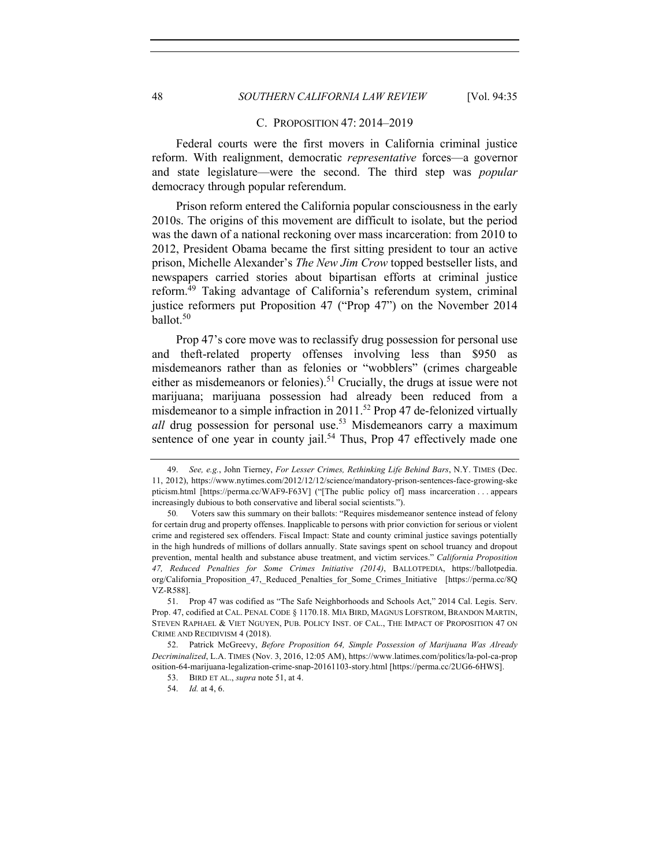#### C. PROPOSITION 47: 2014–2019

Federal courts were the first movers in California criminal justice reform. With realignment, democratic *representative* forces—a governor and state legislature—were the second. The third step was *popular* democracy through popular referendum.

Prison reform entered the California popular consciousness in the early 2010s. The origins of this movement are difficult to isolate, but the period was the dawn of a national reckoning over mass incarceration: from 2010 to 2012, President Obama became the first sitting president to tour an active prison, Michelle Alexander's *The New Jim Crow* topped bestseller lists, and newspapers carried stories about bipartisan efforts at criminal justice reform.49 Taking advantage of California's referendum system, criminal justice reformers put Proposition 47 ("Prop 47") on the November 2014 ballot.<sup>50</sup>

Prop 47's core move was to reclassify drug possession for personal use and theft-related property offenses involving less than \$950 as misdemeanors rather than as felonies or "wobblers" (crimes chargeable either as misdemeanors or felonies).<sup>51</sup> Crucially, the drugs at issue were not marijuana; marijuana possession had already been reduced from a misdemeanor to a simple infraction in 2011.<sup>52</sup> Prop 47 de-felonized virtually *all* drug possession for personal use.<sup>53</sup> Misdemeanors carry a maximum sentence of one year in county jail.<sup>54</sup> Thus, Prop 47 effectively made one

<sup>49.</sup> *See, e.g.*, John Tierney, *For Lesser Crimes, Rethinking Life Behind Bars*, N.Y. TIMES (Dec. 11, 2012), https://www.nytimes.com/2012/12/12/science/mandatory-prison-sentences-face-growing-ske pticism.html [https://perma.cc/WAF9-F63V] ("[The public policy of] mass incarceration . . . appears increasingly dubious to both conservative and liberal social scientists.").

<sup>50</sup>*.* Voters saw this summary on their ballots: "Requires misdemeanor sentence instead of felony for certain drug and property offenses. Inapplicable to persons with prior conviction for serious or violent crime and registered sex offenders. Fiscal Impact: State and county criminal justice savings potentially in the high hundreds of millions of dollars annually. State savings spent on school truancy and dropout prevention, mental health and substance abuse treatment, and victim services." *California Proposition 47, Reduced Penalties for Some Crimes Initiative (2014)*, BALLOTPEDIA, https://ballotpedia. org/California\_Proposition\_47,\_Reduced\_Penalties\_for\_Some\_Crimes\_Initiative [https://perma.cc/8Q VZ-R588].

<sup>51.</sup> Prop 47 was codified as "The Safe Neighborhoods and Schools Act," 2014 Cal. Legis. Serv. Prop. 47, codified at CAL. PENAL CODE § 1170.18. MIA BIRD, MAGNUS LOFSTROM, BRANDON MARTIN, STEVEN RAPHAEL & VIET NGUYEN, PUB. POLICY INST. OF CAL., THE IMPACT OF PROPOSITION 47 ON CRIME AND RECIDIVISM 4 (2018).

<sup>52.</sup> Patrick McGreevy, *Before Proposition 64, Simple Possession of Marijuana Was Already Decriminalized*, L.A. TIMES (Nov. 3, 2016, 12:05 AM), https://www.latimes.com/politics/la-pol-ca-prop osition-64-marijuana-legalization-crime-snap-20161103-story.html [https://perma.cc/2UG6-6HWS].

<sup>53.</sup> BIRD ET AL., *supra* note 51, at 4.

<sup>54.</sup> *Id.* at 4, 6.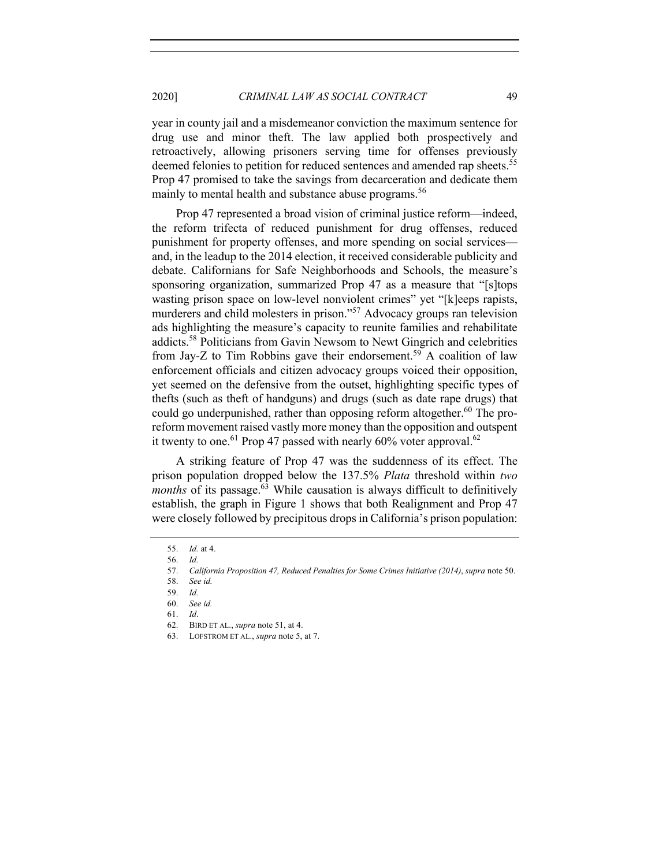2020] *CRIMINAL LAW AS SOCIAL CONTRACT* 49

year in county jail and a misdemeanor conviction the maximum sentence for drug use and minor theft. The law applied both prospectively and retroactively, allowing prisoners serving time for offenses previously deemed felonies to petition for reduced sentences and amended rap sheets.<sup>55</sup> Prop 47 promised to take the savings from decarceration and dedicate them mainly to mental health and substance abuse programs.<sup>56</sup>

Prop 47 represented a broad vision of criminal justice reform—indeed, the reform trifecta of reduced punishment for drug offenses, reduced punishment for property offenses, and more spending on social services and, in the leadup to the 2014 election, it received considerable publicity and debate. Californians for Safe Neighborhoods and Schools, the measure's sponsoring organization, summarized Prop 47 as a measure that "[s]tops wasting prison space on low-level nonviolent crimes" yet "[k]eeps rapists, murderers and child molesters in prison."57 Advocacy groups ran television ads highlighting the measure's capacity to reunite families and rehabilitate addicts.58 Politicians from Gavin Newsom to Newt Gingrich and celebrities from Jay-Z to Tim Robbins gave their endorsement.<sup>59</sup> A coalition of law enforcement officials and citizen advocacy groups voiced their opposition, yet seemed on the defensive from the outset, highlighting specific types of thefts (such as theft of handguns) and drugs (such as date rape drugs) that could go underpunished, rather than opposing reform altogether.<sup>60</sup> The proreform movement raised vastly more money than the opposition and outspent it twenty to one.<sup>61</sup> Prop 47 passed with nearly  $60\%$  voter approval.<sup>62</sup>

A striking feature of Prop 47 was the suddenness of its effect. The prison population dropped below the 137.5% *Plata* threshold within *two months* of its passage. <sup>63</sup> While causation is always difficult to definitively establish, the graph in Figure 1 shows that both Realignment and Prop 47 were closely followed by precipitous drops in California's prison population:

<sup>55.</sup> *Id.* at 4.

<sup>56.</sup> *Id.*

<sup>57.</sup> *California Proposition 47, Reduced Penalties for Some Crimes Initiative (2014)*, *supra* note 50.

<sup>58.</sup> *See id.*

<sup>59.</sup> *Id.*

<sup>60.</sup> *See id.*

<sup>61.</sup> *Id*.

<sup>62.</sup> BIRD ET AL., *supra* note 51, at 4.

<sup>63.</sup> LOFSTROM ET AL., *supra* note 5, at 7.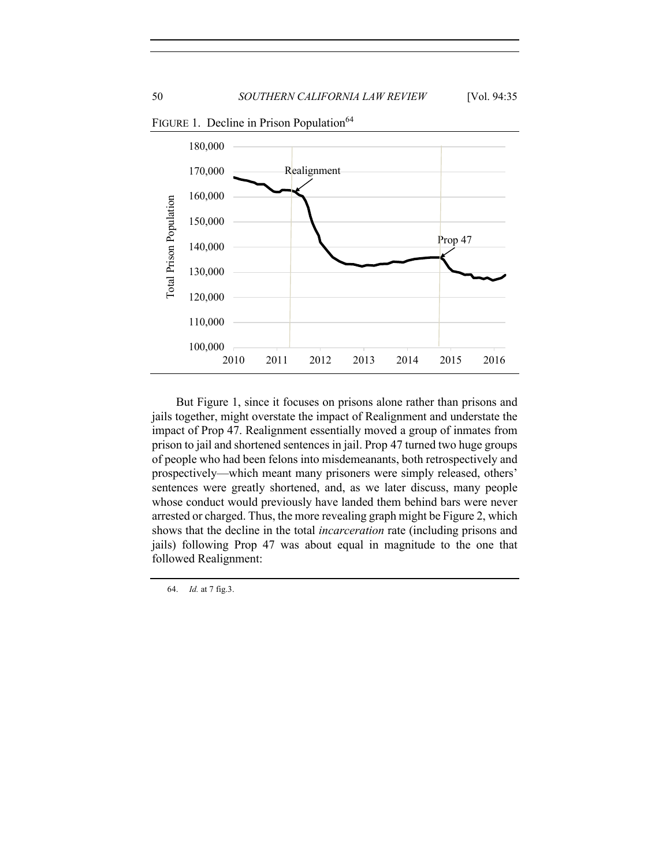

FIGURE 1. Decline in Prison Population<sup>64</sup>

But Figure 1, since it focuses on prisons alone rather than prisons and jails together, might overstate the impact of Realignment and understate the impact of Prop 47. Realignment essentially moved a group of inmates from prison to jail and shortened sentences in jail. Prop 47 turned two huge groups of people who had been felons into misdemeanants, both retrospectively and prospectively—which meant many prisoners were simply released, others' sentences were greatly shortened, and, as we later discuss, many people whose conduct would previously have landed them behind bars were never arrested or charged. Thus, the more revealing graph might be Figure 2, which shows that the decline in the total *incarceration* rate (including prisons and jails) following Prop 47 was about equal in magnitude to the one that followed Realignment:

64. *Id.* at 7 fig.3.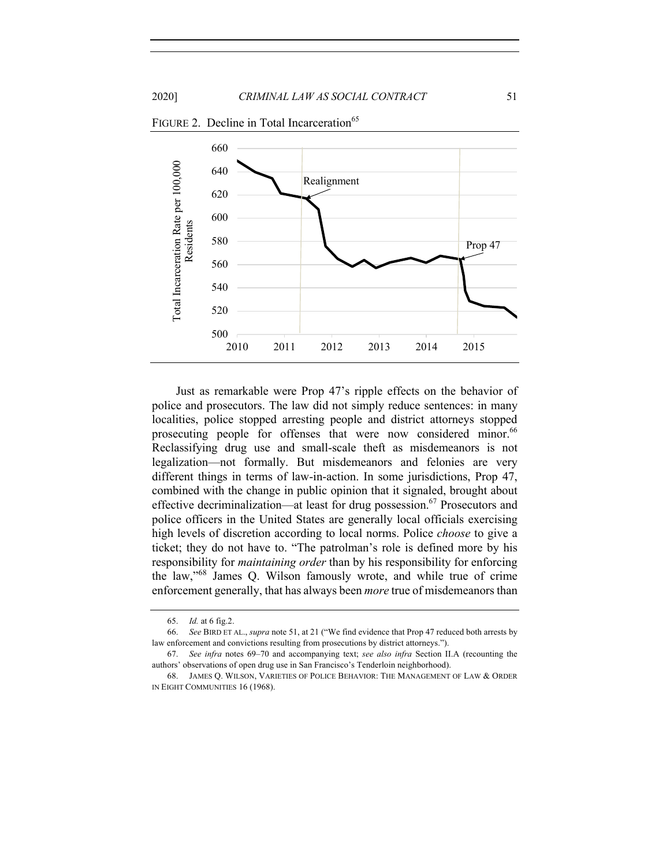

FIGURE 2. Decline in Total Incarceration<sup>65</sup>

Just as remarkable were Prop 47's ripple effects on the behavior of police and prosecutors. The law did not simply reduce sentences: in many localities, police stopped arresting people and district attorneys stopped prosecuting people for offenses that were now considered minor.<sup>66</sup> Reclassifying drug use and small-scale theft as misdemeanors is not legalization—not formally. But misdemeanors and felonies are very different things in terms of law-in-action. In some jurisdictions, Prop 47, combined with the change in public opinion that it signaled, brought about effective decriminalization—at least for drug possession.<sup>67</sup> Prosecutors and police officers in the United States are generally local officials exercising high levels of discretion according to local norms. Police *choose* to give a ticket; they do not have to. "The patrolman's role is defined more by his responsibility for *maintaining order* than by his responsibility for enforcing the law,"<sup>68</sup> James Q. Wilson famously wrote, and while true of crime enforcement generally, that has always been *more* true of misdemeanors than

<sup>65.</sup> *Id.* at 6 fig.2.

<sup>66.</sup> *See* BIRD ET AL., *supra* note 51, at 21 ("We find evidence that Prop 47 reduced both arrests by law enforcement and convictions resulting from prosecutions by district attorneys.").

<sup>67.</sup> *See infra* notes 69–70 and accompanying text; *see also infra* Section II.A (recounting the authors' observations of open drug use in San Francisco's Tenderloin neighborhood).

<sup>68.</sup> JAMES Q. WILSON, VARIETIES OF POLICE BEHAVIOR: THE MANAGEMENT OF LAW & ORDER IN EIGHT COMMUNITIES 16 (1968).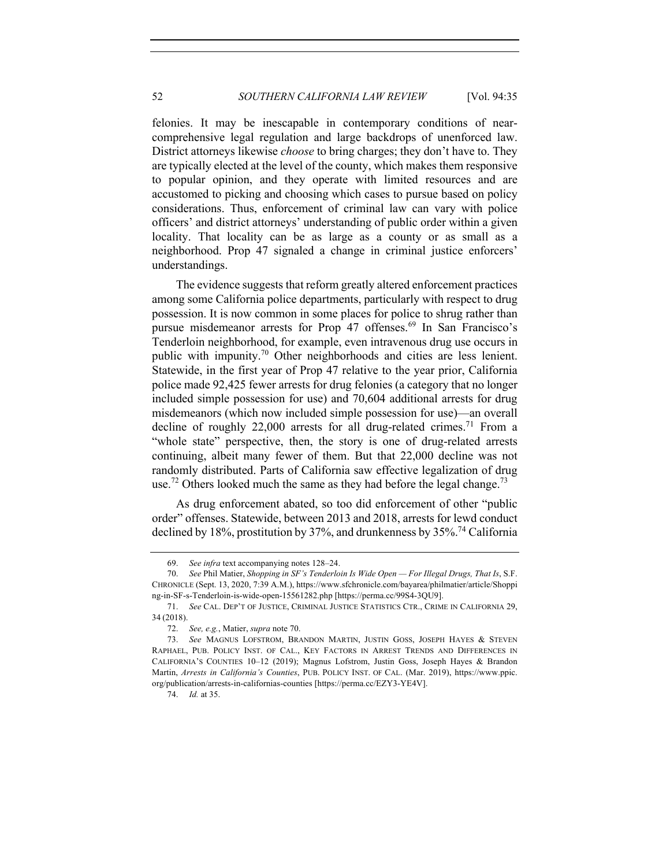felonies. It may be inescapable in contemporary conditions of nearcomprehensive legal regulation and large backdrops of unenforced law. District attorneys likewise *choose* to bring charges; they don't have to. They are typically elected at the level of the county, which makes them responsive to popular opinion, and they operate with limited resources and are accustomed to picking and choosing which cases to pursue based on policy considerations. Thus, enforcement of criminal law can vary with police officers' and district attorneys' understanding of public order within a given locality. That locality can be as large as a county or as small as a neighborhood. Prop 47 signaled a change in criminal justice enforcers' understandings.

The evidence suggests that reform greatly altered enforcement practices among some California police departments, particularly with respect to drug possession. It is now common in some places for police to shrug rather than pursue misdemeanor arrests for Prop 47 offenses.<sup>69</sup> In San Francisco's Tenderloin neighborhood, for example, even intravenous drug use occurs in public with impunity.70 Other neighborhoods and cities are less lenient. Statewide, in the first year of Prop 47 relative to the year prior, California police made 92,425 fewer arrests for drug felonies (a category that no longer included simple possession for use) and 70,604 additional arrests for drug misdemeanors (which now included simple possession for use)—an overall decline of roughly 22,000 arrests for all drug-related crimes.<sup>71</sup> From a "whole state" perspective, then, the story is one of drug-related arrests continuing, albeit many fewer of them. But that 22,000 decline was not randomly distributed. Parts of California saw effective legalization of drug use.<sup>72</sup> Others looked much the same as they had before the legal change.<sup>73</sup>

As drug enforcement abated, so too did enforcement of other "public order" offenses. Statewide, between 2013 and 2018, arrests for lewd conduct declined by 18%, prostitution by 37%, and drunkenness by  $35\%$ <sup>74</sup> California

<sup>69.</sup> *See infra* text accompanying notes 128–24.

<sup>70.</sup> *See* Phil Matier, *Shopping in SF's Tenderloin Is Wide Open — For Illegal Drugs, That Is*, S.F. CHRONICLE (Sept. 13, 2020, 7:39 A.M.), https://www.sfchronicle.com/bayarea/philmatier/article/Shoppi ng-in-SF-s-Tenderloin-is-wide-open-15561282.php [https://perma.cc/99S4-3QU9].

<sup>71.</sup> *See* CAL. DEP'T OF JUSTICE, CRIMINAL JUSTICE STATISTICS CTR., CRIME IN CALIFORNIA 29, 34 (2018).

<sup>72.</sup> *See, e.g.*, Matier, *supra* note 70.

<sup>73.</sup> *See* MAGNUS LOFSTROM, BRANDON MARTIN, JUSTIN GOSS, JOSEPH HAYES & STEVEN RAPHAEL, PUB. POLICY INST. OF CAL., KEY FACTORS IN ARREST TRENDS AND DIFFERENCES IN CALIFORNIA'S COUNTIES 10–12 (2019); Magnus Lofstrom, Justin Goss, Joseph Hayes & Brandon Martin, *Arrests in California's Counties*, PUB. POLICY INST. OF CAL. (Mar. 2019), https://www.ppic. org/publication/arrests-in-californias-counties [https://perma.cc/EZY3-YE4V].

<sup>74.</sup> *Id.* at 35.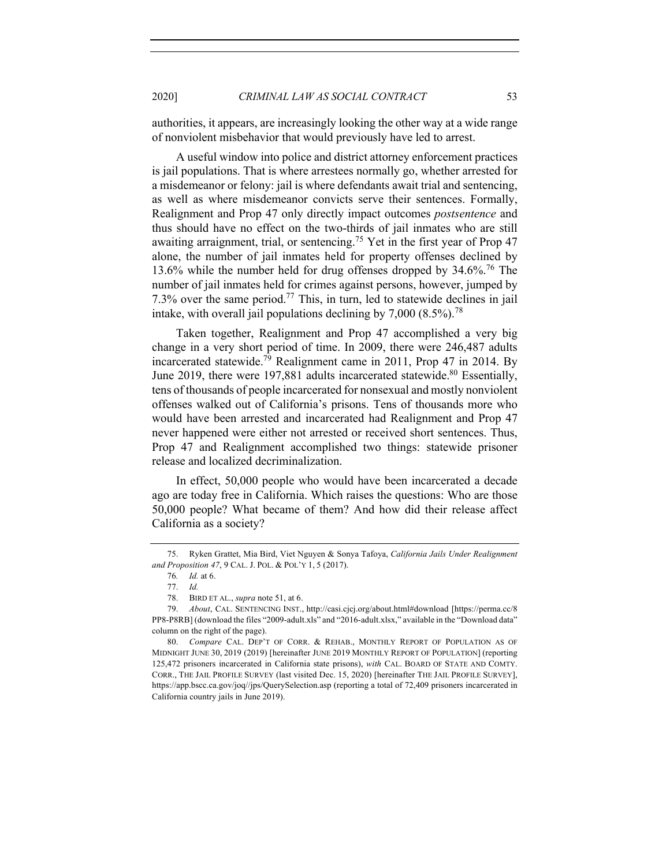authorities, it appears, are increasingly looking the other way at a wide range of nonviolent misbehavior that would previously have led to arrest.

A useful window into police and district attorney enforcement practices is jail populations. That is where arrestees normally go, whether arrested for a misdemeanor or felony: jail is where defendants await trial and sentencing, as well as where misdemeanor convicts serve their sentences. Formally, Realignment and Prop 47 only directly impact outcomes *postsentence* and thus should have no effect on the two-thirds of jail inmates who are still awaiting arraignment, trial, or sentencing.<sup>75</sup> Yet in the first year of Prop 47 alone, the number of jail inmates held for property offenses declined by 13.6% while the number held for drug offenses dropped by 34.6%.<sup>76</sup> The number of jail inmates held for crimes against persons, however, jumped by 7.3% over the same period.<sup>77</sup> This, in turn, led to statewide declines in jail intake, with overall jail populations declining by  $7,000$  (8.5%).<sup>78</sup>

Taken together, Realignment and Prop 47 accomplished a very big change in a very short period of time. In 2009, there were 246,487 adults incarcerated statewide.79 Realignment came in 2011, Prop 47 in 2014. By June 2019, there were 197,881 adults incarcerated statewide.<sup>80</sup> Essentially, tens of thousands of people incarcerated for nonsexual and mostly nonviolent offenses walked out of California's prisons. Tens of thousands more who would have been arrested and incarcerated had Realignment and Prop 47 never happened were either not arrested or received short sentences. Thus, Prop 47 and Realignment accomplished two things: statewide prisoner release and localized decriminalization.

In effect, 50,000 people who would have been incarcerated a decade ago are today free in California. Which raises the questions: Who are those 50,000 people? What became of them? And how did their release affect California as a society?

<sup>75.</sup> Ryken Grattet, Mia Bird, Viet Nguyen & Sonya Tafoya, *California Jails Under Realignment and Proposition 47*, 9 CAL. J. POL. & POL'Y 1, 5 (2017).

<sup>76</sup>*. Id.* at 6.

<sup>77.</sup> *Id.*

<sup>78.</sup> BIRD ET AL., *supra* note 51, at 6.

<sup>79.</sup> *About*, CAL. SENTENCING INST., http://casi.cjcj.org/about.html#download [https://perma.cc/8 PP8-P8RB] (download the files "2009-adult.xls" and "2016-adult.xlsx," available in the "Download data" column on the right of the page).

<sup>80.</sup> *Compare* CAL. DEP'T OF CORR. & REHAB., MONTHLY REPORT OF POPULATION AS OF MIDNIGHT JUNE 30, 2019 (2019) [hereinafter JUNE 2019 MONTHLY REPORT OF POPULATION] (reporting 125,472 prisoners incarcerated in California state prisons), *with* CAL. BOARD OF STATE AND COMTY. CORR., THE JAIL PROFILE SURVEY (last visited Dec. 15, 2020) [hereinafter THE JAIL PROFILE SURVEY], https://app.bscc.ca.gov/joq//jps/QuerySelection.asp (reporting a total of 72,409 prisoners incarcerated in California country jails in June 2019).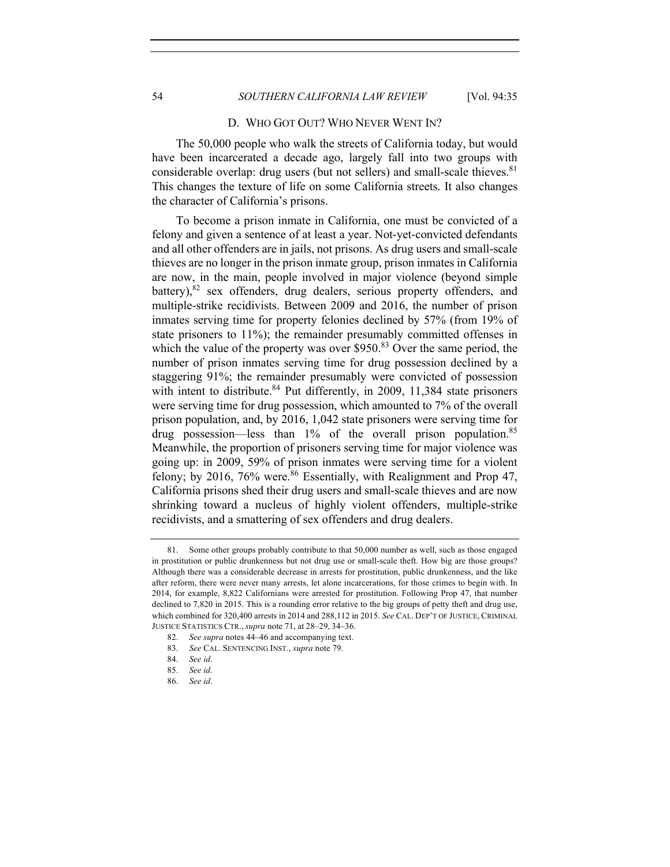## 54 *SOUTHERN CALIFORNIA LAW REVIEW* [Vol. 94:35

#### D. WHO GOT OUT? WHO NEVER WENT IN?

The 50,000 people who walk the streets of California today, but would have been incarcerated a decade ago, largely fall into two groups with considerable overlap: drug users (but not sellers) and small-scale thieves.  $81$ This changes the texture of life on some California streets. It also changes the character of California's prisons.

To become a prison inmate in California, one must be convicted of a felony and given a sentence of at least a year. Not-yet-convicted defendants and all other offenders are in jails, not prisons. As drug users and small-scale thieves are no longer in the prison inmate group, prison inmates in California are now, in the main, people involved in major violence (beyond simple battery), $82$  sex offenders, drug dealers, serious property offenders, and multiple-strike recidivists. Between 2009 and 2016, the number of prison inmates serving time for property felonies declined by 57% (from 19% of state prisoners to 11%); the remainder presumably committed offenses in which the value of the property was over  $$950<sup>83</sup>$  Over the same period, the number of prison inmates serving time for drug possession declined by a staggering 91%; the remainder presumably were convicted of possession with intent to distribute.<sup>84</sup> Put differently, in 2009, 11,384 state prisoners were serving time for drug possession, which amounted to 7% of the overall prison population, and, by 2016, 1,042 state prisoners were serving time for drug possession—less than  $1\%$  of the overall prison population.<sup>85</sup> Meanwhile, the proportion of prisoners serving time for major violence was going up: in 2009, 59% of prison inmates were serving time for a violent felony; by 2016,  $76\%$  were.<sup>86</sup> Essentially, with Realignment and Prop 47, California prisons shed their drug users and small-scale thieves and are now shrinking toward a nucleus of highly violent offenders, multiple-strike recidivists, and a smattering of sex offenders and drug dealers.

<sup>81.</sup> Some other groups probably contribute to that 50,000 number as well, such as those engaged in prostitution or public drunkenness but not drug use or small-scale theft. How big are those groups? Although there was a considerable decrease in arrests for prostitution, public drunkenness, and the like after reform, there were never many arrests, let alone incarcerations, for those crimes to begin with. In 2014, for example, 8,822 Californians were arrested for prostitution. Following Prop 47, that number declined to 7,820 in 2015. This is a rounding error relative to the big groups of petty theft and drug use, which combined for 320,400 arrests in 2014 and 288,112 in 2015. *See* CAL. DEP'T OF JUSTICE, CRIMINAL JUSTICE STATISTICS CTR., *supra* note 71, at 28–29, 34–36.

<sup>82.</sup> *See supra* notes 44–46 and accompanying text.

<sup>83.</sup> *See* CAL. SENTENCING INST., *supra* note 79.

<sup>84.</sup> *See id*.

<sup>85.</sup> *See id*.

<sup>86.</sup> *See id*.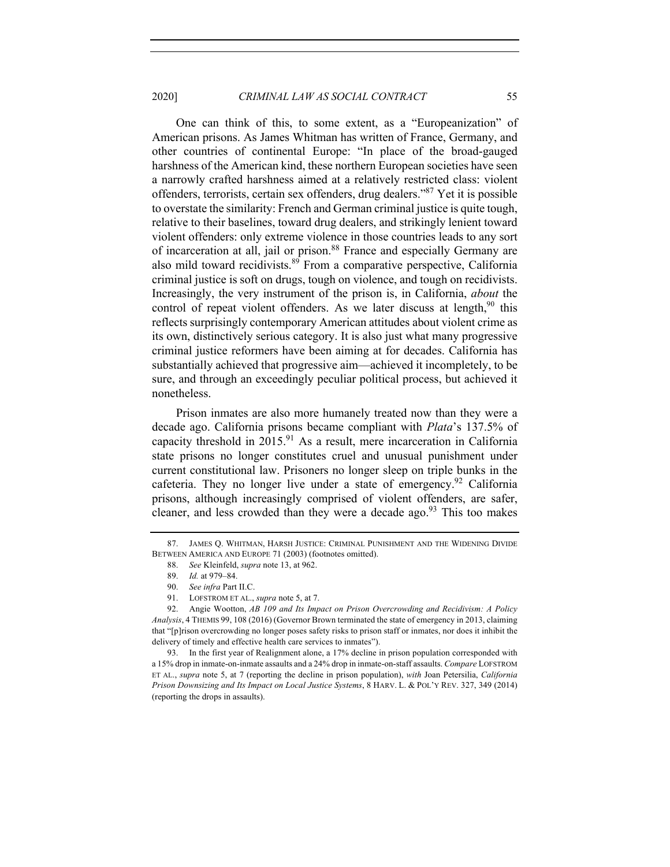2020] *CRIMINAL LAW AS SOCIAL CONTRACT* 55

One can think of this, to some extent, as a "Europeanization" of American prisons. As James Whitman has written of France, Germany, and other countries of continental Europe: "In place of the broad-gauged harshness of the American kind, these northern European societies have seen a narrowly crafted harshness aimed at a relatively restricted class: violent offenders, terrorists, certain sex offenders, drug dealers."87 Yet it is possible to overstate the similarity: French and German criminal justice is quite tough, relative to their baselines, toward drug dealers, and strikingly lenient toward violent offenders: only extreme violence in those countries leads to any sort of incarceration at all, jail or prison.<sup>88</sup> France and especially Germany are also mild toward recidivists.<sup>89</sup> From a comparative perspective, California criminal justice is soft on drugs, tough on violence, and tough on recidivists. Increasingly, the very instrument of the prison is, in California, *about* the control of repeat violent offenders. As we later discuss at length,<sup>90</sup> this reflects surprisingly contemporary American attitudes about violent crime as its own, distinctively serious category. It is also just what many progressive criminal justice reformers have been aiming at for decades. California has substantially achieved that progressive aim—achieved it incompletely, to be sure, and through an exceedingly peculiar political process, but achieved it nonetheless.

Prison inmates are also more humanely treated now than they were a decade ago. California prisons became compliant with *Plata*'s 137.5% of capacity threshold in  $2015<sup>91</sup>$  As a result, mere incarceration in California state prisons no longer constitutes cruel and unusual punishment under current constitutional law. Prisoners no longer sleep on triple bunks in the cafeteria. They no longer live under a state of emergency.<sup>92</sup> California prisons, although increasingly comprised of violent offenders, are safer, cleaner, and less crowded than they were a decade ago.<sup>93</sup> This too makes

91. LOFSTROM ET AL., *supra* note 5, at 7.

<sup>87.</sup> JAMES Q. WHITMAN, HARSH JUSTICE: CRIMINAL PUNISHMENT AND THE WIDENING DIVIDE BETWEEN AMERICA AND EUROPE 71 (2003) (footnotes omitted).

<sup>88.</sup> *See* Kleinfeld, *supra* note 13, at 962.

<sup>89.</sup> *Id.* at 979–84.

<sup>90.</sup> *See infra* Part II.C.

<sup>92.</sup> Angie Wootton, *AB 109 and Its Impact on Prison Overcrowding and Recidivism: A Policy Analysis*, 4 THEMIS 99, 108 (2016) (Governor Brown terminated the state of emergency in 2013, claiming that "[p]rison overcrowding no longer poses safety risks to prison staff or inmates, nor does it inhibit the delivery of timely and effective health care services to inmates").

<sup>93.</sup> In the first year of Realignment alone, a 17% decline in prison population corresponded with a 15% drop in inmate-on-inmate assaults and a 24% drop in inmate-on-staff assaults. *Compare* LOFSTROM ET AL., *supra* note 5, at 7 (reporting the decline in prison population), *with* Joan Petersilia, *California Prison Downsizing and Its Impact on Local Justice Systems*, 8 HARV. L. & POL'Y REV. 327, 349 (2014) (reporting the drops in assaults).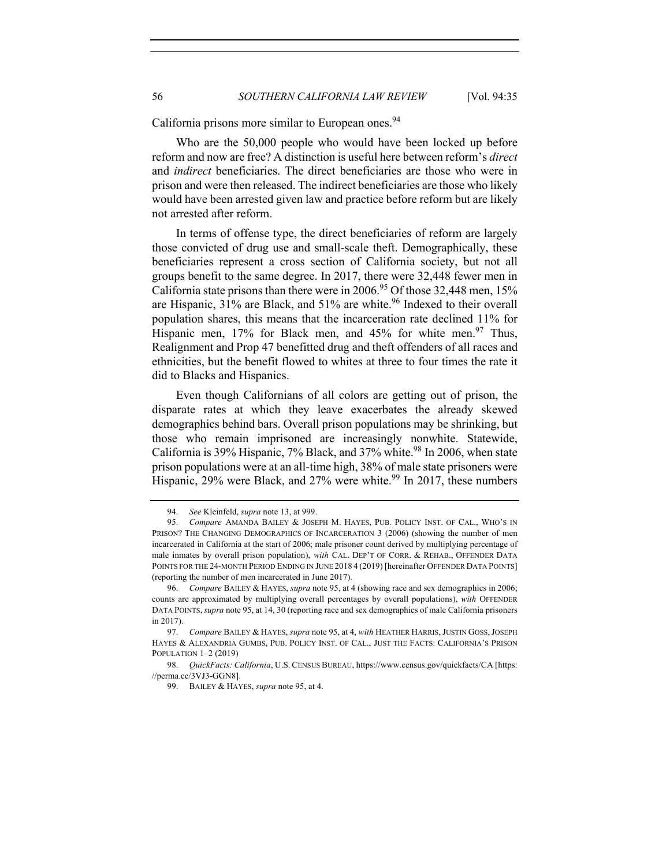California prisons more similar to European ones.<sup>94</sup>

Who are the 50,000 people who would have been locked up before reform and now are free? A distinction is useful here between reform's *direct* and *indirect* beneficiaries. The direct beneficiaries are those who were in prison and were then released. The indirect beneficiaries are those who likely would have been arrested given law and practice before reform but are likely not arrested after reform.

In terms of offense type, the direct beneficiaries of reform are largely those convicted of drug use and small-scale theft. Demographically, these beneficiaries represent a cross section of California society, but not all groups benefit to the same degree. In 2017, there were 32,448 fewer men in California state prisons than there were in 2006.<sup>95</sup> Of those 32,448 men, 15% are Hispanic, 31% are Black, and 51% are white.<sup>96</sup> Indexed to their overall population shares, this means that the incarceration rate declined 11% for Hispanic men, 17% for Black men, and 45% for white men.<sup>97</sup> Thus, Realignment and Prop 47 benefitted drug and theft offenders of all races and ethnicities, but the benefit flowed to whites at three to four times the rate it did to Blacks and Hispanics.

Even though Californians of all colors are getting out of prison, the disparate rates at which they leave exacerbates the already skewed demographics behind bars. Overall prison populations may be shrinking, but those who remain imprisoned are increasingly nonwhite. Statewide, California is  $39\%$  Hispanic, 7% Black, and  $37\%$  white.<sup>98</sup> In 2006, when state prison populations were at an all-time high, 38% of male state prisoners were Hispanic, 29% were Black, and 27% were white.<sup>99</sup> In 2017, these numbers

<sup>94.</sup> *See* Kleinfeld, *supra* note 13, at 999.

<sup>95.</sup> *Compare* AMANDA BAILEY & JOSEPH M. HAYES, PUB. POLICY INST. OF CAL., WHO'S IN PRISON? THE CHANGING DEMOGRAPHICS OF INCARCERATION 3 (2006) (showing the number of men incarcerated in California at the start of 2006; male prisoner count derived by multiplying percentage of male inmates by overall prison population), *with* CAL. DEP'T OF CORR. & REHAB., OFFENDER DATA POINTS FOR THE 24-MONTH PERIOD ENDING IN JUNE 2018 4 (2019) [hereinafter OFFENDER DATA POINTS] (reporting the number of men incarcerated in June 2017).

<sup>96.</sup> *Compare* BAILEY & HAYES, *supra* note 95, at 4 (showing race and sex demographics in 2006; counts are approximated by multiplying overall percentages by overall populations), *with* OFFENDER DATA POINTS,*supra* note 95, at 14, 30 (reporting race and sex demographics of male California prisoners in 2017).

<sup>97.</sup> *Compare* BAILEY & HAYES, *supra* note 95, at 4, *with* HEATHER HARRIS,JUSTIN GOSS,JOSEPH HAYES & ALEXANDRIA GUMBS, PUB. POLICY INST. OF CAL., JUST THE FACTS: CALIFORNIA'S PRISON POPULATION 1–2 (2019)

<sup>98.</sup> *QuickFacts: California*, U.S. CENSUS BUREAU, https://www.census.gov/quickfacts/CA [https: //perma.cc/3VJ3-GGN8].

<sup>99.</sup> BAILEY & HAYES, *supra* note 95, at 4.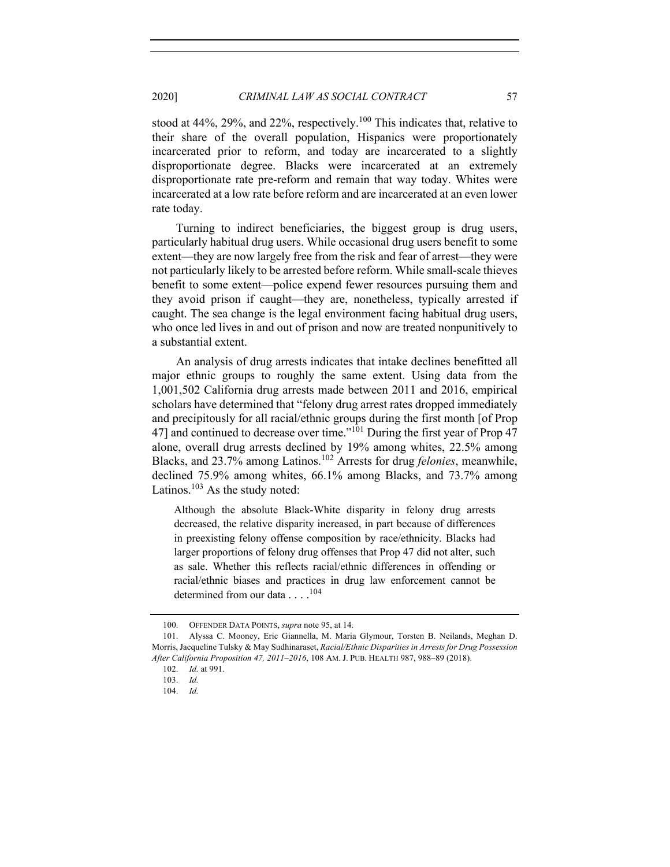# 2020] *CRIMINAL LAW AS SOCIAL CONTRACT* 57

stood at 44%, 29%, and 22%, respectively.<sup>100</sup> This indicates that, relative to their share of the overall population, Hispanics were proportionately incarcerated prior to reform, and today are incarcerated to a slightly disproportionate degree. Blacks were incarcerated at an extremely disproportionate rate pre-reform and remain that way today. Whites were incarcerated at a low rate before reform and are incarcerated at an even lower rate today.

Turning to indirect beneficiaries, the biggest group is drug users, particularly habitual drug users. While occasional drug users benefit to some extent—they are now largely free from the risk and fear of arrest—they were not particularly likely to be arrested before reform. While small-scale thieves benefit to some extent—police expend fewer resources pursuing them and they avoid prison if caught—they are, nonetheless, typically arrested if caught. The sea change is the legal environment facing habitual drug users, who once led lives in and out of prison and now are treated nonpunitively to a substantial extent.

An analysis of drug arrests indicates that intake declines benefitted all major ethnic groups to roughly the same extent. Using data from the 1,001,502 California drug arrests made between 2011 and 2016, empirical scholars have determined that "felony drug arrest rates dropped immediately and precipitously for all racial/ethnic groups during the first month [of Prop 47] and continued to decrease over time."<sup>101</sup> During the first year of Prop 47 alone, overall drug arrests declined by 19% among whites, 22.5% among Blacks, and 23.7% among Latinos.<sup>102</sup> Arrests for drug *felonies*, meanwhile, declined 75.9% among whites, 66.1% among Blacks, and 73.7% among Latinos. $103$  As the study noted:

Although the absolute Black-White disparity in felony drug arrests decreased, the relative disparity increased, in part because of differences in preexisting felony offense composition by race/ethnicity. Blacks had larger proportions of felony drug offenses that Prop 47 did not alter, such as sale. Whether this reflects racial/ethnic differences in offending or racial/ethnic biases and practices in drug law enforcement cannot be determined from our data . . . .<sup>104</sup>

<sup>100.</sup> OFFENDER DATA POINTS, *supra* note 95, at 14.

<sup>101.</sup> Alyssa C. Mooney, Eric Giannella, M. Maria Glymour, Torsten B. Neilands, Meghan D. Morris, Jacqueline Tulsky & May Sudhinaraset, *Racial/Ethnic Disparities in Arrests for Drug Possession After California Proposition 47, 2011–2016*, 108 AM. J. PUB. HEALTH 987, 988–89 (2018).

<sup>102.</sup> *Id.* at 991.

<sup>103.</sup> *Id.*

<sup>104.</sup> *Id.*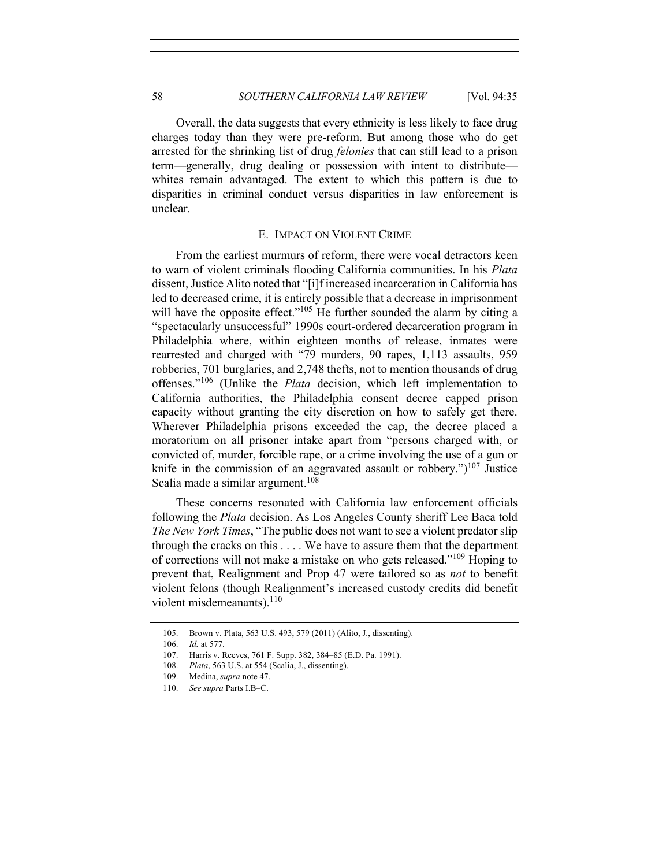Overall, the data suggests that every ethnicity is less likely to face drug charges today than they were pre-reform. But among those who do get arrested for the shrinking list of drug *felonies* that can still lead to a prison term—generally, drug dealing or possession with intent to distribute whites remain advantaged. The extent to which this pattern is due to disparities in criminal conduct versus disparities in law enforcement is unclear.

## E. IMPACT ON VIOLENT CRIME

From the earliest murmurs of reform, there were vocal detractors keen to warn of violent criminals flooding California communities. In his *Plata*  dissent, Justice Alito noted that "[i]f increased incarceration in California has led to decreased crime, it is entirely possible that a decrease in imprisonment will have the opposite effect."<sup>105</sup> He further sounded the alarm by citing a "spectacularly unsuccessful" 1990s court-ordered decarceration program in Philadelphia where, within eighteen months of release, inmates were rearrested and charged with "79 murders, 90 rapes, 1,113 assaults, 959 robberies, 701 burglaries, and 2,748 thefts, not to mention thousands of drug offenses."<sup>106</sup> (Unlike the *Plata* decision, which left implementation to California authorities, the Philadelphia consent decree capped prison capacity without granting the city discretion on how to safely get there. Wherever Philadelphia prisons exceeded the cap, the decree placed a moratorium on all prisoner intake apart from "persons charged with, or convicted of, murder, forcible rape, or a crime involving the use of a gun or knife in the commission of an aggravated assault or robbery.")<sup>107</sup> Justice Scalia made a similar argument. $108$ 

These concerns resonated with California law enforcement officials following the *Plata* decision. As Los Angeles County sheriff Lee Baca told *The New York Times*, "The public does not want to see a violent predator slip through the cracks on this . . . . We have to assure them that the department of corrections will not make a mistake on who gets released."<sup>109</sup> Hoping to prevent that, Realignment and Prop 47 were tailored so as *not* to benefit violent felons (though Realignment's increased custody credits did benefit violent misdemeanants).<sup>110</sup>

<sup>105.</sup> Brown v. Plata, 563 U.S. 493, 579 (2011) (Alito, J., dissenting).

<sup>106.</sup> *Id.* at 577.

<sup>107.</sup> Harris v. Reeves, 761 F. Supp. 382, 384–85 (E.D. Pa. 1991).

<sup>108.</sup> *Plata*, 563 U.S. at 554 (Scalia, J., dissenting).

<sup>109.</sup> Medina, *supra* note 47.

<sup>110.</sup> *See supra* Parts I.B–C.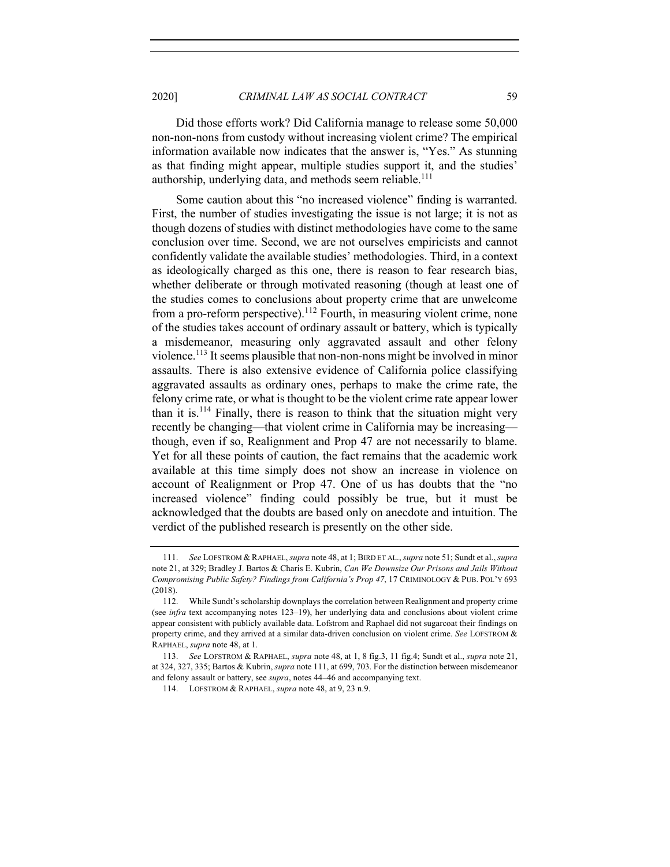Did those efforts work? Did California manage to release some 50,000 non-non-nons from custody without increasing violent crime? The empirical information available now indicates that the answer is, "Yes." As stunning as that finding might appear, multiple studies support it, and the studies' authorship, underlying data, and methods seem reliable.<sup>111</sup>

Some caution about this "no increased violence" finding is warranted. First, the number of studies investigating the issue is not large; it is not as though dozens of studies with distinct methodologies have come to the same conclusion over time. Second, we are not ourselves empiricists and cannot confidently validate the available studies' methodologies. Third, in a context as ideologically charged as this one, there is reason to fear research bias, whether deliberate or through motivated reasoning (though at least one of the studies comes to conclusions about property crime that are unwelcome from a pro-reform perspective).<sup>112</sup> Fourth, in measuring violent crime, none of the studies takes account of ordinary assault or battery, which is typically a misdemeanor, measuring only aggravated assault and other felony violence. <sup>113</sup> It seems plausible that non-non-nons might be involved in minor assaults. There is also extensive evidence of California police classifying aggravated assaults as ordinary ones, perhaps to make the crime rate, the felony crime rate, or what is thought to be the violent crime rate appear lower than it is.<sup>114</sup> Finally, there is reason to think that the situation might very recently be changing—that violent crime in California may be increasing though, even if so, Realignment and Prop 47 are not necessarily to blame. Yet for all these points of caution, the fact remains that the academic work available at this time simply does not show an increase in violence on account of Realignment or Prop 47. One of us has doubts that the "no increased violence" finding could possibly be true, but it must be acknowledged that the doubts are based only on anecdote and intuition. The verdict of the published research is presently on the other side.

<sup>111.</sup> *See* LOFSTROM & RAPHAEL, *supra* note 48, at 1; BIRD ET AL., *supra* note 51; Sundt et al., *supra* note 21, at 329; Bradley J. Bartos & Charis E. Kubrin, *Can We Downsize Our Prisons and Jails Without Compromising Public Safety? Findings from California's Prop 47*, 17 CRIMINOLOGY & PUB. POL'Y 693 (2018).

<sup>112.</sup> While Sundt's scholarship downplays the correlation between Realignment and property crime (see *infra* text accompanying notes 123–19), her underlying data and conclusions about violent crime appear consistent with publicly available data. Lofstrom and Raphael did not sugarcoat their findings on property crime, and they arrived at a similar data-driven conclusion on violent crime. *See* LOFSTROM & RAPHAEL, *supra* note 48, at 1.

<sup>113.</sup> *See* LOFSTROM & RAPHAEL, *supra* note 48, at 1, 8 fig.3, 11 fig.4; Sundt et al., *supra* note 21, at 324, 327, 335; Bartos & Kubrin, *supra* note 111, at 699, 703. For the distinction between misdemeanor and felony assault or battery, see *supra*, notes 44–46 and accompanying text.

<sup>114.</sup> LOFSTROM & RAPHAEL, *supra* note 48, at 9, 23 n.9.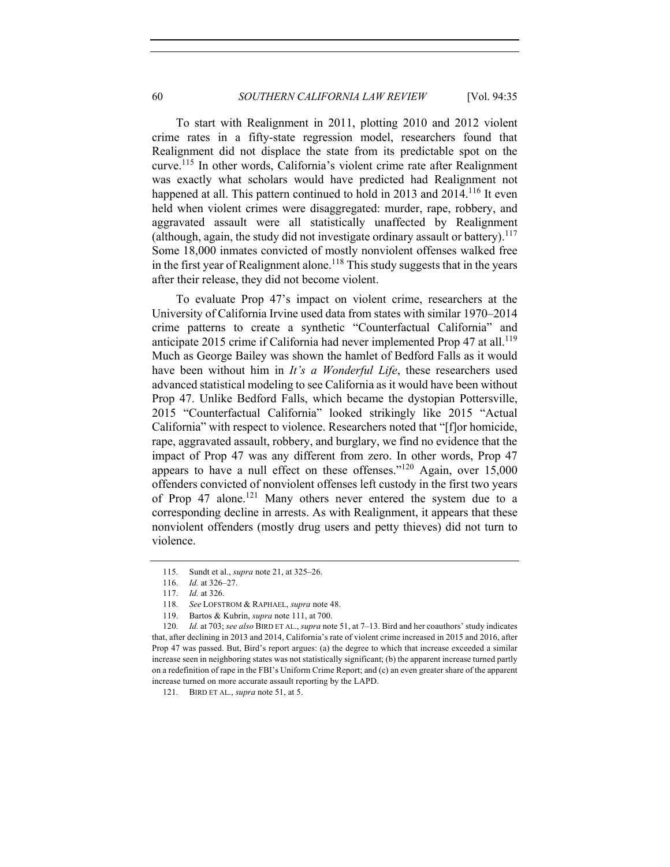To start with Realignment in 2011, plotting 2010 and 2012 violent crime rates in a fifty-state regression model, researchers found that Realignment did not displace the state from its predictable spot on the curve.<sup>115</sup> In other words, California's violent crime rate after Realignment was exactly what scholars would have predicted had Realignment not happened at all. This pattern continued to hold in 2013 and  $2014$ <sup>116</sup> It even held when violent crimes were disaggregated: murder, rape, robbery, and aggravated assault were all statistically unaffected by Realignment (although, again, the study did not investigate ordinary assault or battery).<sup>117</sup> Some 18,000 inmates convicted of mostly nonviolent offenses walked free in the first year of Realignment alone.<sup>118</sup> This study suggests that in the years after their release, they did not become violent.

To evaluate Prop 47's impact on violent crime, researchers at the University of California Irvine used data from states with similar 1970–2014 crime patterns to create a synthetic "Counterfactual California" and anticipate 2015 crime if California had never implemented Prop 47 at all.<sup>119</sup> Much as George Bailey was shown the hamlet of Bedford Falls as it would have been without him in *It's a Wonderful Life*, these researchers used advanced statistical modeling to see California as it would have been without Prop 47. Unlike Bedford Falls, which became the dystopian Pottersville, 2015 "Counterfactual California" looked strikingly like 2015 "Actual California" with respect to violence. Researchers noted that "[f]or homicide, rape, aggravated assault, robbery, and burglary, we find no evidence that the impact of Prop 47 was any different from zero. In other words, Prop 47 appears to have a null effect on these offenses." $120$  Again, over 15,000 offenders convicted of nonviolent offenses left custody in the first two years of Prop 47 alone.<sup>121</sup> Many others never entered the system due to a corresponding decline in arrests. As with Realignment, it appears that these nonviolent offenders (mostly drug users and petty thieves) did not turn to violence.

<sup>115.</sup> Sundt et al., *supra* note 21, at 325–26.

<sup>116.</sup> *Id.* at 326–27.

<sup>117.</sup> *Id.* at 326.

<sup>118.</sup> *See* LOFSTROM & RAPHAEL, *supra* note 48.

<sup>119.</sup> Bartos & Kubrin, *supra* note 111, at 700.

<sup>120.</sup> *Id.* at 703; *see also* BIRD ET AL., *supra* note 51, at 7–13. Bird and her coauthors' study indicates that, after declining in 2013 and 2014, California's rate of violent crime increased in 2015 and 2016, after Prop 47 was passed. But, Bird's report argues: (a) the degree to which that increase exceeded a similar increase seen in neighboring states was not statistically significant; (b) the apparent increase turned partly on a redefinition of rape in the FBI's Uniform Crime Report; and (c) an even greater share of the apparent increase turned on more accurate assault reporting by the LAPD.

<sup>121.</sup> BIRD ET AL., *supra* note 51, at 5.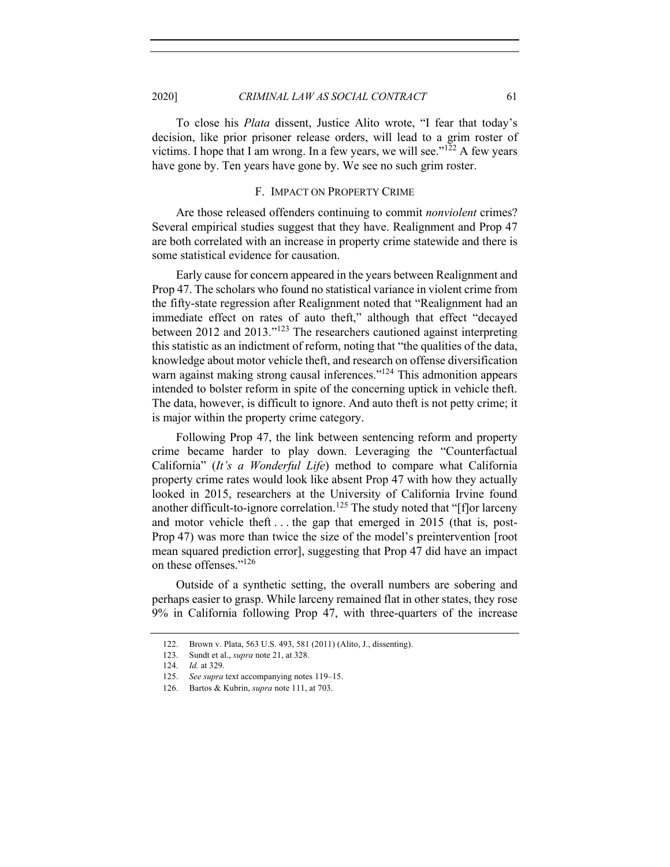To close his *Plata* dissent, Justice Alito wrote, "I fear that today's decision, like prior prisoner release orders, will lead to a grim roster of victims. I hope that I am wrong. In a few years, we will see." $122$  A few years have gone by. Ten years have gone by. We see no such grim roster.

#### F. IMPACT ON PROPERTY CRIME

Are those released offenders continuing to commit *nonviolent* crimes? Several empirical studies suggest that they have. Realignment and Prop 47 are both correlated with an increase in property crime statewide and there is some statistical evidence for causation.

Early cause for concern appeared in the years between Realignment and Prop 47. The scholars who found no statistical variance in violent crime from the fifty-state regression after Realignment noted that "Realignment had an immediate effect on rates of auto theft," although that effect "decayed between 2012 and 2013."<sup>123</sup> The researchers cautioned against interpreting this statistic as an indictment of reform, noting that "the qualities of the data, knowledge about motor vehicle theft, and research on offense diversification warn against making strong causal inferences."<sup>124</sup> This admonition appears intended to bolster reform in spite of the concerning uptick in vehicle theft. The data, however, is difficult to ignore. And auto theft is not petty crime; it is major within the property crime category.

Following Prop 47, the link between sentencing reform and property crime became harder to play down. Leveraging the "Counterfactual California" (*It's a Wonderful Life*) method to compare what California property crime rates would look like absent Prop 47 with how they actually looked in 2015, researchers at the University of California Irvine found another difficult-to-ignore correlation.<sup>125</sup> The study noted that "[f]or larceny and motor vehicle theft . . . the gap that emerged in 2015 (that is, post-Prop 47) was more than twice the size of the model's preintervention [root mean squared prediction error], suggesting that Prop 47 did have an impact on these offenses."126

Outside of a synthetic setting, the overall numbers are sobering and perhaps easier to grasp. While larceny remained flat in other states, they rose 9% in California following Prop 47, with three-quarters of the increase

<sup>122.</sup> Brown v. Plata, 563 U.S. 493, 581 (2011) (Alito, J., dissenting).

<sup>123.</sup> Sundt et al., *supra* note 21, at 328.

<sup>124.</sup> *Id.* at 329.

<sup>125.</sup> *See supra* text accompanying notes 119–15.

<sup>126.</sup> Bartos & Kubrin, *supra* note 111, at 703.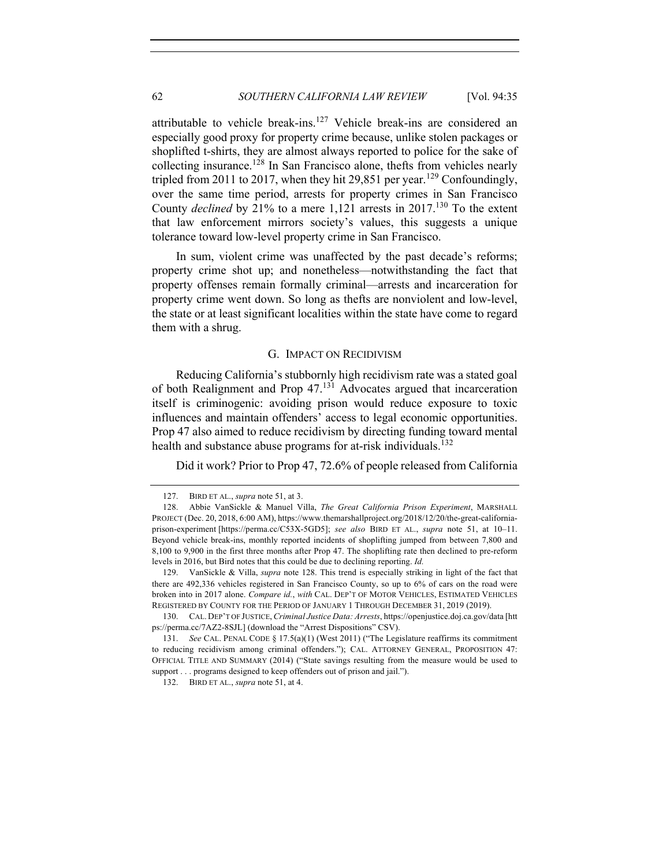attributable to vehicle break-ins.<sup>127</sup> Vehicle break-ins are considered an especially good proxy for property crime because, unlike stolen packages or shoplifted t-shirts, they are almost always reported to police for the sake of collecting insurance.<sup>128</sup> In San Francisco alone, thefts from vehicles nearly tripled from 2011 to 2017, when they hit 29,851 per year.<sup>129</sup> Confoundingly, over the same time period, arrests for property crimes in San Francisco County *declined* by 21% to a mere 1,121 arrests in 2017.<sup>130</sup> To the extent that law enforcement mirrors society's values, this suggests a unique tolerance toward low-level property crime in San Francisco.

In sum, violent crime was unaffected by the past decade's reforms; property crime shot up; and nonetheless—notwithstanding the fact that property offenses remain formally criminal—arrests and incarceration for property crime went down. So long as thefts are nonviolent and low-level, the state or at least significant localities within the state have come to regard them with a shrug.

## G. IMPACT ON RECIDIVISM

Reducing California's stubbornly high recidivism rate was a stated goal of both Realignment and Prop 47.<sup>131</sup> Advocates argued that incarceration itself is criminogenic: avoiding prison would reduce exposure to toxic influences and maintain offenders' access to legal economic opportunities. Prop 47 also aimed to reduce recidivism by directing funding toward mental health and substance abuse programs for at-risk individuals.<sup>132</sup>

Did it work? Prior to Prop 47, 72.6% of people released from California

<sup>127.</sup> BIRD ET AL., *supra* note 51, at 3.

<sup>128.</sup> Abbie VanSickle & Manuel Villa, *The Great California Prison Experiment*, MARSHALL PROJECT (Dec. 20, 2018, 6:00 AM), https://www.themarshallproject.org/2018/12/20/the-great-californiaprison-experiment [https://perma.cc/C53X-5GD5]; *see also* BIRD ET AL., *supra* note 51, at 10–11. Beyond vehicle break-ins, monthly reported incidents of shoplifting jumped from between 7,800 and 8,100 to 9,900 in the first three months after Prop 47. The shoplifting rate then declined to pre-reform levels in 2016, but Bird notes that this could be due to declining reporting. *Id.*

<sup>129.</sup> VanSickle & Villa, *supra* note 128. This trend is especially striking in light of the fact that there are 492,336 vehicles registered in San Francisco County, so up to 6% of cars on the road were broken into in 2017 alone. *Compare id.*, *with* CAL. DEP'T OF MOTOR VEHICLES, ESTIMATED VEHICLES REGISTERED BY COUNTY FOR THE PERIOD OF JANUARY 1 THROUGH DECEMBER 31, 2019 (2019).

<sup>130.</sup> CAL. DEP'T OF JUSTICE,*Criminal Justice Data: Arrests*, https://openjustice.doj.ca.gov/data [htt ps://perma.cc/7AZ2-8SJL] (download the "Arrest Dispositions" CSV).

<sup>131.</sup> *See* CAL. PENAL CODE § 17.5(a)(1) (West 2011) ("The Legislature reaffirms its commitment to reducing recidivism among criminal offenders."); CAL. ATTORNEY GENERAL, PROPOSITION 47: OFFICIAL TITLE AND SUMMARY (2014) ("State savings resulting from the measure would be used to support . . . programs designed to keep offenders out of prison and jail.").

<sup>132.</sup> BIRD ET AL., *supra* note 51, at 4.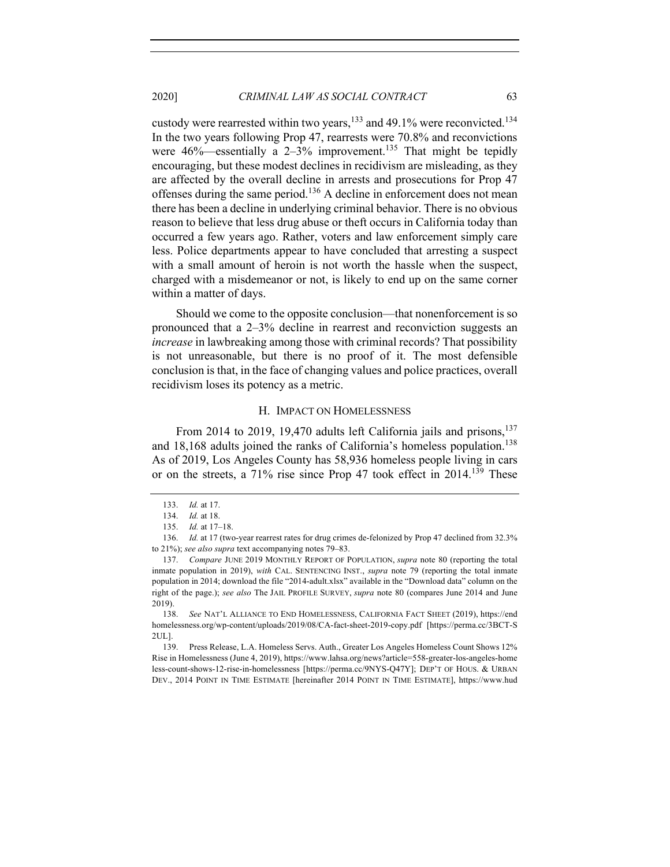custody were rearrested within two years,  $133$  and 49.1% were reconvicted.<sup>134</sup> In the two years following Prop 47, rearrests were 70.8% and reconvictions were  $46\%$ —essentially a 2–3% improvement.<sup>135</sup> That might be tepidly encouraging, but these modest declines in recidivism are misleading, as they are affected by the overall decline in arrests and prosecutions for Prop 47 offenses during the same period.<sup>136</sup> A decline in enforcement does not mean there has been a decline in underlying criminal behavior. There is no obvious reason to believe that less drug abuse or theft occurs in California today than occurred a few years ago. Rather, voters and law enforcement simply care less. Police departments appear to have concluded that arresting a suspect with a small amount of heroin is not worth the hassle when the suspect, charged with a misdemeanor or not, is likely to end up on the same corner within a matter of days.

Should we come to the opposite conclusion—that nonenforcement is so pronounced that a 2–3% decline in rearrest and reconviction suggests an *increase* in lawbreaking among those with criminal records? That possibility is not unreasonable, but there is no proof of it. The most defensible conclusion is that, in the face of changing values and police practices, overall recidivism loses its potency as a metric.

#### H. IMPACT ON HOMELESSNESS

From 2014 to 2019, 19,470 adults left California jails and prisons,  $137$ and 18,168 adults joined the ranks of California's homeless population.<sup>138</sup> As of 2019, Los Angeles County has 58,936 homeless people living in cars or on the streets, a 71% rise since Prop 47 took effect in 2014.<sup>139</sup> These

139. Press Release, L.A. Homeless Servs. Auth., Greater Los Angeles Homeless Count Shows 12% Rise in Homelessness (June 4, 2019), https://www.lahsa.org/news?article=558-greater-los-angeles-home less-count-shows-12-rise-in-homelessness [https://perma.cc/9NYS-Q47Y]; DEP'T OF HOUS. & URBAN DEV., 2014 POINT IN TIME ESTIMATE [hereinafter 2014 POINT IN TIME ESTIMATE], https://www.hud

<sup>133.</sup> *Id.* at 17.

<sup>134.</sup> *Id.* at 18.

<sup>135.</sup> *Id.* at 17–18.

<sup>136.</sup> *Id.* at 17 (two-year rearrest rates for drug crimes de-felonized by Prop 47 declined from 32.3% to 21%); *see also supra* text accompanying notes 79–83.

<sup>137.</sup> *Compare* JUNE 2019 MONTHLY REPORT OF POPULATION, *supra* note 80 (reporting the total inmate population in 2019), *with* CAL. SENTENCING INST., *supra* note 79 (reporting the total inmate population in 2014; download the file "2014-adult.xlsx" available in the "Download data" column on the right of the page.); *see also* The JAIL PROFILE SURVEY, *supra* note 80 (compares June 2014 and June 2019).

<sup>138.</sup> *See* NAT'L ALLIANCE TO END HOMELESSNESS, CALIFORNIA FACT SHEET (2019), https://end homelessness.org/wp-content/uploads/2019/08/CA-fact-sheet-2019-copy.pdf [https://perma.cc/3BCT-S 2UL].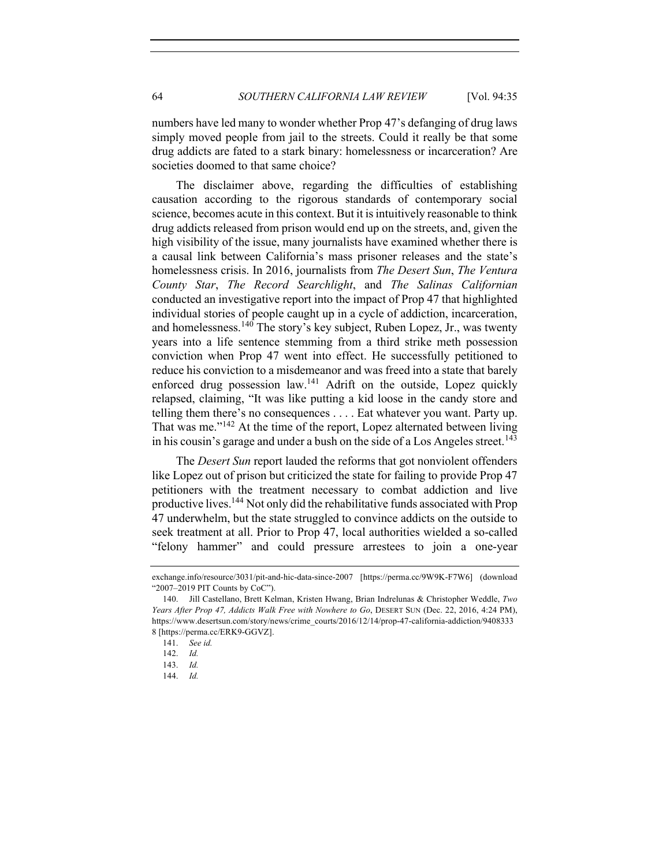numbers have led many to wonder whether Prop 47's defanging of drug laws simply moved people from jail to the streets. Could it really be that some drug addicts are fated to a stark binary: homelessness or incarceration? Are societies doomed to that same choice?

The disclaimer above, regarding the difficulties of establishing causation according to the rigorous standards of contemporary social science, becomes acute in this context. But it is intuitively reasonable to think drug addicts released from prison would end up on the streets, and, given the high visibility of the issue, many journalists have examined whether there is a causal link between California's mass prisoner releases and the state's homelessness crisis. In 2016, journalists from *The Desert Sun*, *The Ventura County Star*, *The Record Searchlight*, and *The Salinas Californian* conducted an investigative report into the impact of Prop 47 that highlighted individual stories of people caught up in a cycle of addiction, incarceration, and homelessness.<sup>140</sup> The story's key subject, Ruben Lopez, Jr., was twenty years into a life sentence stemming from a third strike meth possession conviction when Prop 47 went into effect. He successfully petitioned to reduce his conviction to a misdemeanor and was freed into a state that barely enforced drug possession law.<sup>141</sup> Adrift on the outside, Lopez quickly relapsed, claiming, "It was like putting a kid loose in the candy store and telling them there's no consequences . . . . Eat whatever you want. Party up. That was me."<sup>142</sup> At the time of the report, Lopez alternated between living in his cousin's garage and under a bush on the side of a Los Angeles street.<sup>143</sup>

The *Desert Sun* report lauded the reforms that got nonviolent offenders like Lopez out of prison but criticized the state for failing to provide Prop 47 petitioners with the treatment necessary to combat addiction and live productive lives.<sup>144</sup> Not only did the rehabilitative funds associated with Prop 47 underwhelm, but the state struggled to convince addicts on the outside to seek treatment at all. Prior to Prop 47, local authorities wielded a so-called "felony hammer" and could pressure arrestees to join a one-year

exchange.info/resource/3031/pit-and-hic-data-since-2007 [https://perma.cc/9W9K-F7W6] (download "2007–2019 PIT Counts by CoC").

<sup>140.</sup> Jill Castellano, Brett Kelman, Kristen Hwang, Brian Indrelunas & Christopher Weddle, *Two Years After Prop 47, Addicts Walk Free with Nowhere to Go*, DESERT SUN (Dec. 22, 2016, 4:24 PM), https://www.desertsun.com/story/news/crime\_courts/2016/12/14/prop-47-california-addiction/9408333 8 [https://perma.cc/ERK9-GGVZ].

<sup>141.</sup> *See id.*

<sup>142.</sup> *Id.*

<sup>143.</sup> *Id.*

<sup>144.</sup> *Id.*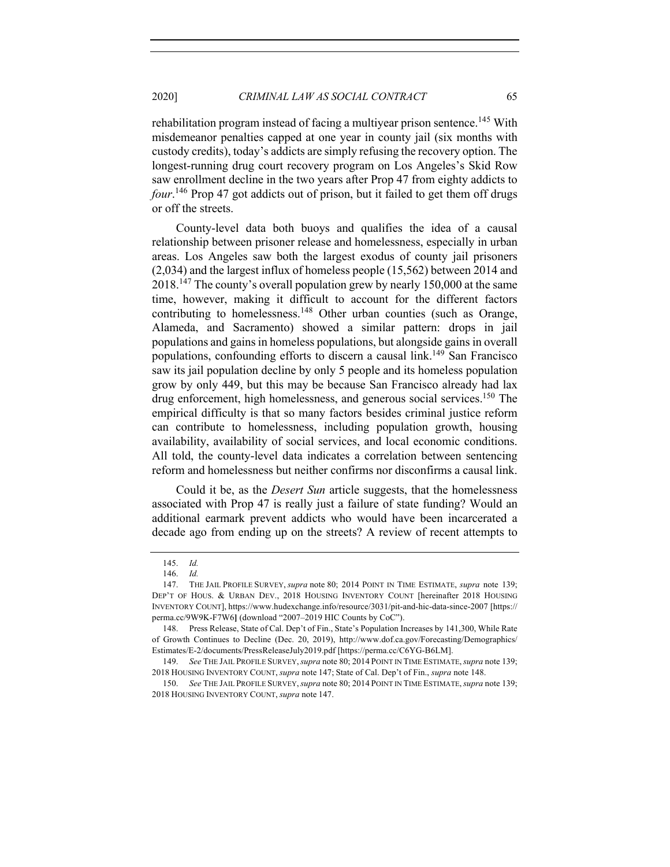rehabilitation program instead of facing a multiyear prison sentence.<sup>145</sup> With misdemeanor penalties capped at one year in county jail (six months with custody credits), today's addicts are simply refusing the recovery option. The longest-running drug court recovery program on Los Angeles's Skid Row saw enrollment decline in the two years after Prop 47 from eighty addicts to *four*. <sup>146</sup> Prop 47 got addicts out of prison, but it failed to get them off drugs or off the streets.

County-level data both buoys and qualifies the idea of a causal relationship between prisoner release and homelessness, especially in urban areas. Los Angeles saw both the largest exodus of county jail prisoners (2,034) and the largest influx of homeless people (15,562) between 2014 and  $2018<sup>147</sup>$  The county's overall population grew by nearly 150,000 at the same time, however, making it difficult to account for the different factors contributing to homelessness.<sup>148</sup> Other urban counties (such as Orange, Alameda, and Sacramento) showed a similar pattern: drops in jail populations and gains in homeless populations, but alongside gains in overall populations, confounding efforts to discern a causal link.<sup>149</sup> San Francisco saw its jail population decline by only 5 people and its homeless population grow by only 449, but this may be because San Francisco already had lax drug enforcement, high homelessness, and generous social services.<sup>150</sup> The empirical difficulty is that so many factors besides criminal justice reform can contribute to homelessness, including population growth, housing availability, availability of social services, and local economic conditions. All told, the county-level data indicates a correlation between sentencing reform and homelessness but neither confirms nor disconfirms a causal link.

Could it be, as the *Desert Sun* article suggests, that the homelessness associated with Prop 47 is really just a failure of state funding? Would an additional earmark prevent addicts who would have been incarcerated a decade ago from ending up on the streets? A review of recent attempts to

<sup>145.</sup> *Id.* 

<sup>146.</sup> *Id.*

<sup>147.</sup> THE JAIL PROFILE SURVEY, *supra* note 80; 2014 POINT IN TIME ESTIMATE, *supra* note 139; DEP'T OF HOUS. & URBAN DEV., 2018 HOUSING INVENTORY COUNT [hereinafter 2018 HOUSING INVENTORY COUNT], https://www.hudexchange.info/resource/3031/pit-and-hic-data-since-2007 [https:// perma.cc/9W9K-F7W6**]** (download "2007–2019 HIC Counts by CoC").

<sup>148.</sup> Press Release, State of Cal. Dep't of Fin., State's Population Increases by 141,300, While Rate of Growth Continues to Decline (Dec. 20, 2019), http://www.dof.ca.gov/Forecasting/Demographics/ Estimates/E-2/documents/PressReleaseJuly2019.pdf [https://perma.cc/C6YG-B6LM].

<sup>149.</sup> *See* THE JAIL PROFILE SURVEY,*supra* note 80; 2014 POINT IN TIME ESTIMATE,*supra* note 139; 2018 HOUSING INVENTORY COUNT, *supra* note 147; State of Cal. Dep't of Fin., *supra* note 148.

<sup>150.</sup> *See* THE JAIL PROFILE SURVEY,*supra* note 80; 2014 POINT IN TIME ESTIMATE,*supra* note 139; 2018 HOUSING INVENTORY COUNT, *supra* note 147.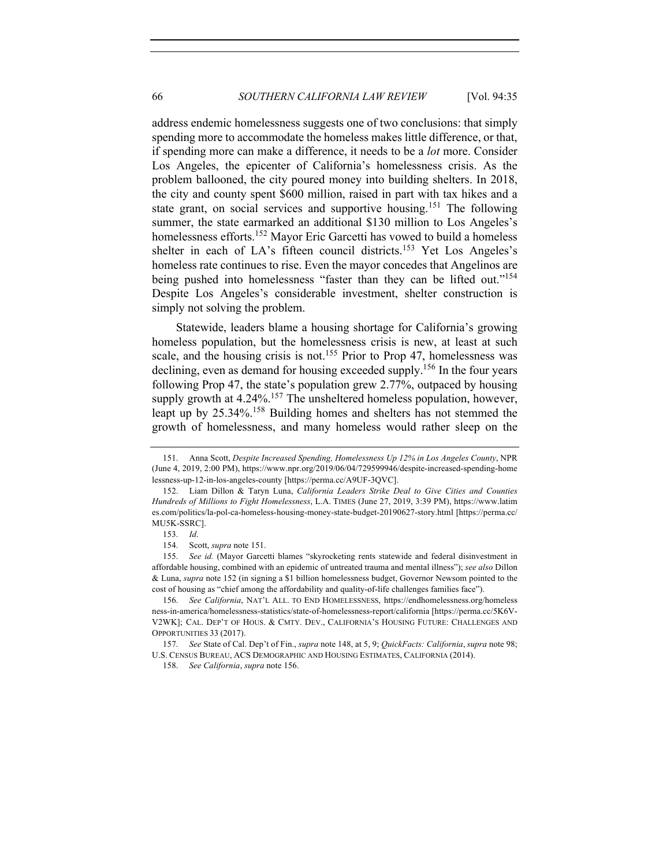address endemic homelessness suggests one of two conclusions: that simply spending more to accommodate the homeless makes little difference, or that, if spending more can make a difference, it needs to be a *lot* more. Consider Los Angeles, the epicenter of California's homelessness crisis. As the problem ballooned, the city poured money into building shelters. In 2018, the city and county spent \$600 million, raised in part with tax hikes and a state grant, on social services and supportive housing.<sup>151</sup> The following summer, the state earmarked an additional \$130 million to Los Angeles's homelessness efforts.<sup>152</sup> Mayor Eric Garcetti has vowed to build a homeless shelter in each of LA's fifteen council districts.<sup>153</sup> Yet Los Angeles's homeless rate continues to rise. Even the mayor concedes that Angelinos are being pushed into homelessness "faster than they can be lifted out."<sup>154</sup> Despite Los Angeles's considerable investment, shelter construction is simply not solving the problem.

Statewide, leaders blame a housing shortage for California's growing homeless population, but the homelessness crisis is new, at least at such scale, and the housing crisis is not.<sup>155</sup> Prior to Prop 47, homelessness was declining, even as demand for housing exceeded supply.<sup>156</sup> In the four years following Prop 47, the state's population grew 2.77%, outpaced by housing supply growth at 4.24%.<sup>157</sup> The unsheltered homeless population, however, leapt up by 25.34%.<sup>158</sup> Building homes and shelters has not stemmed the growth of homelessness, and many homeless would rather sleep on the

<sup>151.</sup> Anna Scott, *Despite Increased Spending, Homelessness Up 12% in Los Angeles County*, NPR (June 4, 2019, 2:00 PM), https://www.npr.org/2019/06/04/729599946/despite-increased-spending-home lessness-up-12-in-los-angeles-county [https://perma.cc/A9UF-3QVC].

<sup>152.</sup> Liam Dillon & Taryn Luna, *California Leaders Strike Deal to Give Cities and Counties Hundreds of Millions to Fight Homelessness*, L.A. TIMES (June 27, 2019, 3:39 PM), https://www.latim es.com/politics/la-pol-ca-homeless-housing-money-state-budget-20190627-story.html [https://perma.cc/ MU5K-SSRC].

<sup>153.</sup> *Id*.

<sup>154.</sup> Scott, *supra* note 151.

<sup>155.</sup> *See id.* (Mayor Garcetti blames "skyrocketing rents statewide and federal disinvestment in affordable housing, combined with an epidemic of untreated trauma and mental illness"); *see also* Dillon & Luna, *supra* note 152 (in signing a \$1 billion homelessness budget, Governor Newsom pointed to the cost of housing as "chief among the affordability and quality-of-life challenges families face").

<sup>156.</sup> *See California*, NAT'L ALL. TO END HOMELESSNESS, https://endhomelessness.org/homeless ness-in-america/homelessness-statistics/state-of-homelessness-report/california [https://perma.cc/5K6V-V2WK]; CAL. DEP'T OF HOUS. & CMTY. DEV., CALIFORNIA'S HOUSING FUTURE: CHALLENGES AND OPPORTUNITIES 33 (2017).

<sup>157.</sup> *See* State of Cal. Dep't of Fin., *supra* note 148, at 5, 9; *QuickFacts: California*, *supra* note 98; U.S. CENSUS BUREAU, ACS DEMOGRAPHIC AND HOUSING ESTIMATES, CALIFORNIA (2014).

<sup>158.</sup> *See California*, *supra* note 156.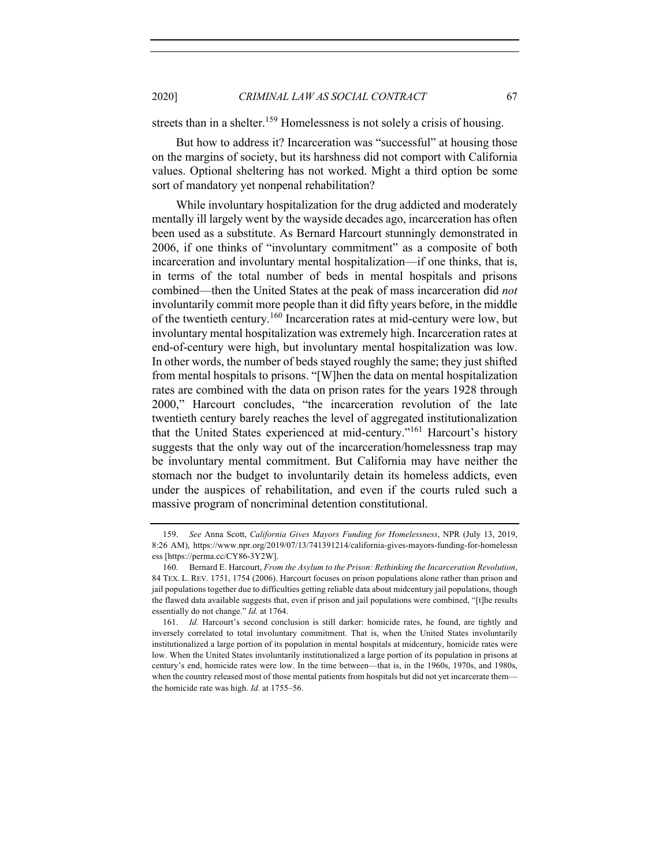streets than in a shelter.<sup>159</sup> Homelessness is not solely a crisis of housing.

But how to address it? Incarceration was "successful" at housing those on the margins of society, but its harshness did not comport with California values. Optional sheltering has not worked. Might a third option be some sort of mandatory yet nonpenal rehabilitation?

While involuntary hospitalization for the drug addicted and moderately mentally ill largely went by the wayside decades ago, incarceration has often been used as a substitute. As Bernard Harcourt stunningly demonstrated in 2006, if one thinks of "involuntary commitment" as a composite of both incarceration and involuntary mental hospitalization—if one thinks, that is, in terms of the total number of beds in mental hospitals and prisons combined—then the United States at the peak of mass incarceration did *not* involuntarily commit more people than it did fifty years before, in the middle of the twentieth century.<sup>160</sup> Incarceration rates at mid-century were low, but involuntary mental hospitalization was extremely high. Incarceration rates at end-of-century were high, but involuntary mental hospitalization was low. In other words, the number of beds stayed roughly the same; they just shifted from mental hospitals to prisons. "[W]hen the data on mental hospitalization rates are combined with the data on prison rates for the years 1928 through 2000," Harcourt concludes, "the incarceration revolution of the late twentieth century barely reaches the level of aggregated institutionalization that the United States experienced at mid-century."<sup>161</sup> Harcourt's history suggests that the only way out of the incarceration/homelessness trap may be involuntary mental commitment. But California may have neither the stomach nor the budget to involuntarily detain its homeless addicts, even under the auspices of rehabilitation, and even if the courts ruled such a massive program of noncriminal detention constitutional.

<sup>159.</sup> *See* Anna Scott, *California Gives Mayors Funding for Homelessness*, NPR (July 13, 2019, 8:26 AM), https://www.npr.org/2019/07/13/741391214/california-gives-mayors-funding-for-homelessn ess [https://perma.cc/CY86-3Y2W].

<sup>160.</sup> Bernard E. Harcourt, *From the Asylum to the Prison: Rethinking the Incarceration Revolution*, 84 TEX. L. REV. 1751, 1754 (2006). Harcourt focuses on prison populations alone rather than prison and jail populations together due to difficulties getting reliable data about midcentury jail populations, though the flawed data available suggests that, even if prison and jail populations were combined, "[t]he results essentially do not change." *Id.* at 1764.

<sup>161.</sup> *Id.* Harcourt's second conclusion is still darker: homicide rates, he found, are tightly and inversely correlated to total involuntary commitment. That is, when the United States involuntarily institutionalized a large portion of its population in mental hospitals at midcentury, homicide rates were low. When the United States involuntarily institutionalized a large portion of its population in prisons at century's end, homicide rates were low. In the time between—that is, in the 1960s, 1970s, and 1980s, when the country released most of those mental patients from hospitals but did not yet incarcerate them the homicide rate was high. *Id.* at 1755–56.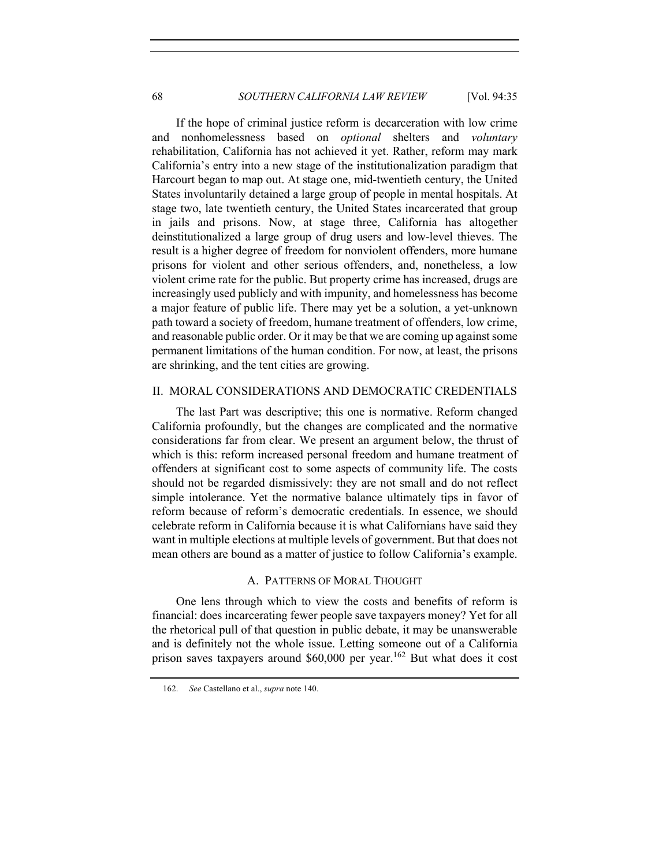If the hope of criminal justice reform is decarceration with low crime and nonhomelessness based on *optional* shelters and *voluntary* rehabilitation, California has not achieved it yet. Rather, reform may mark California's entry into a new stage of the institutionalization paradigm that Harcourt began to map out. At stage one, mid-twentieth century, the United States involuntarily detained a large group of people in mental hospitals. At stage two, late twentieth century, the United States incarcerated that group in jails and prisons. Now, at stage three, California has altogether deinstitutionalized a large group of drug users and low-level thieves. The result is a higher degree of freedom for nonviolent offenders, more humane prisons for violent and other serious offenders, and, nonetheless, a low violent crime rate for the public. But property crime has increased, drugs are increasingly used publicly and with impunity, and homelessness has become a major feature of public life. There may yet be a solution, a yet-unknown path toward a society of freedom, humane treatment of offenders, low crime, and reasonable public order. Or it may be that we are coming up against some permanent limitations of the human condition. For now, at least, the prisons are shrinking, and the tent cities are growing.

# II. MORAL CONSIDERATIONS AND DEMOCRATIC CREDENTIALS

The last Part was descriptive; this one is normative. Reform changed California profoundly, but the changes are complicated and the normative considerations far from clear. We present an argument below, the thrust of which is this: reform increased personal freedom and humane treatment of offenders at significant cost to some aspects of community life. The costs should not be regarded dismissively: they are not small and do not reflect simple intolerance. Yet the normative balance ultimately tips in favor of reform because of reform's democratic credentials. In essence, we should celebrate reform in California because it is what Californians have said they want in multiple elections at multiple levels of government. But that does not mean others are bound as a matter of justice to follow California's example.

#### A. PATTERNS OF MORAL THOUGHT

One lens through which to view the costs and benefits of reform is financial: does incarcerating fewer people save taxpayers money? Yet for all the rhetorical pull of that question in public debate, it may be unanswerable and is definitely not the whole issue. Letting someone out of a California prison saves taxpayers around \$60,000 per year.<sup>162</sup> But what does it cost

<sup>162.</sup> *See* Castellano et al., *supra* note 140.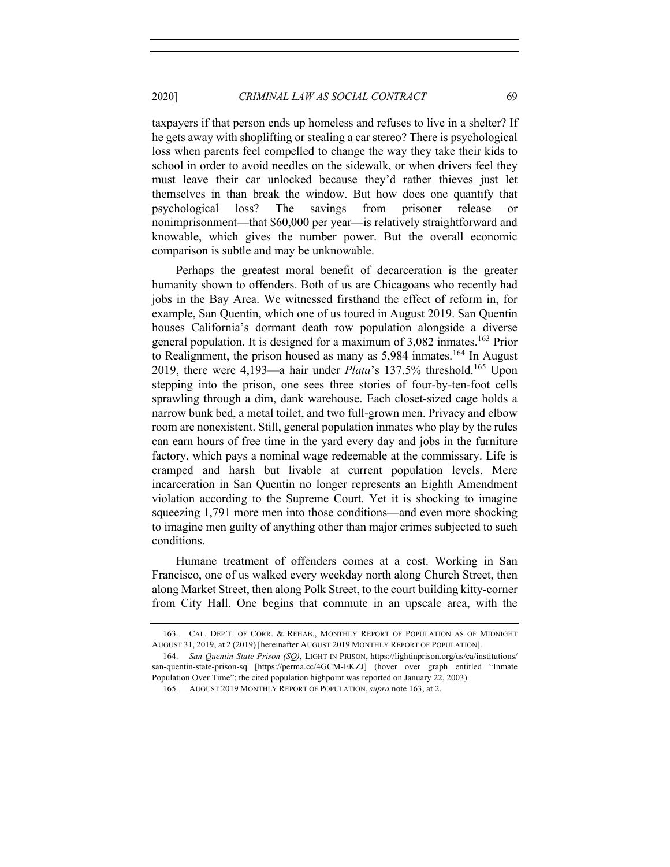taxpayers if that person ends up homeless and refuses to live in a shelter? If he gets away with shoplifting or stealing a car stereo? There is psychological loss when parents feel compelled to change the way they take their kids to school in order to avoid needles on the sidewalk, or when drivers feel they must leave their car unlocked because they'd rather thieves just let themselves in than break the window. But how does one quantify that psychological loss? The savings from prisoner release or nonimprisonment—that \$60,000 per year—is relatively straightforward and knowable, which gives the number power. But the overall economic comparison is subtle and may be unknowable.

Perhaps the greatest moral benefit of decarceration is the greater humanity shown to offenders. Both of us are Chicagoans who recently had jobs in the Bay Area. We witnessed firsthand the effect of reform in, for example, San Quentin, which one of us toured in August 2019. San Quentin houses California's dormant death row population alongside a diverse general population. It is designed for a maximum of 3,082 inmates. <sup>163</sup> Prior to Realignment, the prison housed as many as  $5,984$  inmates.<sup>164</sup> In August 2019, there were 4,193—a hair under *Plata*'s 137.5% threshold.<sup>165</sup> Upon stepping into the prison, one sees three stories of four-by-ten-foot cells sprawling through a dim, dank warehouse. Each closet-sized cage holds a narrow bunk bed, a metal toilet, and two full-grown men. Privacy and elbow room are nonexistent. Still, general population inmates who play by the rules can earn hours of free time in the yard every day and jobs in the furniture factory, which pays a nominal wage redeemable at the commissary. Life is cramped and harsh but livable at current population levels. Mere incarceration in San Quentin no longer represents an Eighth Amendment violation according to the Supreme Court. Yet it is shocking to imagine squeezing 1,791 more men into those conditions—and even more shocking to imagine men guilty of anything other than major crimes subjected to such conditions.

Humane treatment of offenders comes at a cost. Working in San Francisco, one of us walked every weekday north along Church Street, then along Market Street, then along Polk Street, to the court building kitty-corner from City Hall. One begins that commute in an upscale area, with the

<sup>163.</sup> CAL. DEP'T. OF CORR. & REHAB., MONTHLY REPORT OF POPULATION AS OF MIDNIGHT AUGUST 31, 2019, at 2 (2019) [hereinafter AUGUST 2019 MONTHLY REPORT OF POPULATION].

<sup>164.</sup> *San Quentin State Prison (SQ)*, LIGHT IN PRISON, https://lightinprison.org/us/ca/institutions/ san-quentin-state-prison-sq [https://perma.cc/4GCM-EKZJ] (hover over graph entitled "Inmate Population Over Time"; the cited population highpoint was reported on January 22, 2003).

<sup>165.</sup> AUGUST 2019 MONTHLY REPORT OF POPULATION, *supra* note 163, at 2.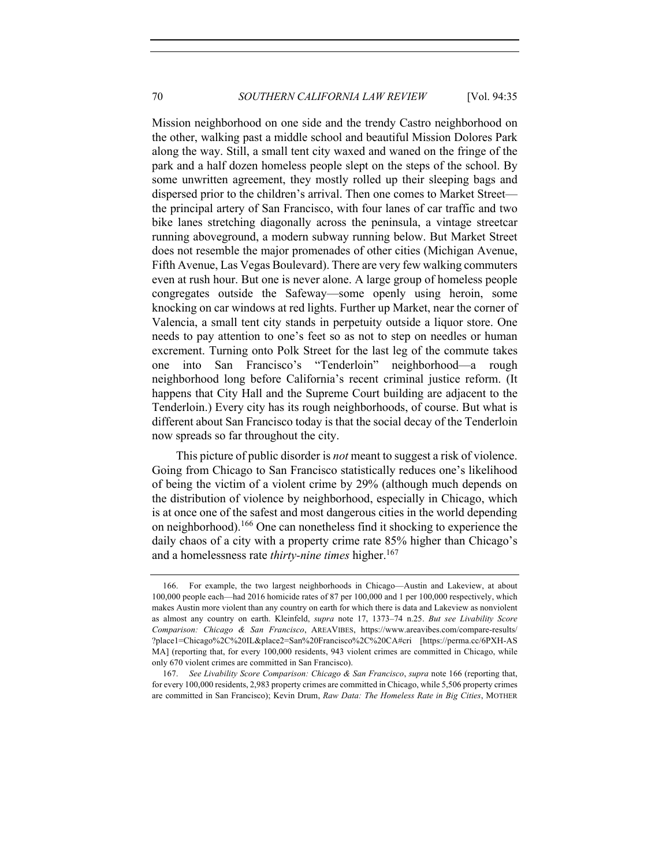Mission neighborhood on one side and the trendy Castro neighborhood on the other, walking past a middle school and beautiful Mission Dolores Park along the way. Still, a small tent city waxed and waned on the fringe of the park and a half dozen homeless people slept on the steps of the school. By some unwritten agreement, they mostly rolled up their sleeping bags and dispersed prior to the children's arrival. Then one comes to Market Street the principal artery of San Francisco, with four lanes of car traffic and two bike lanes stretching diagonally across the peninsula, a vintage streetcar running aboveground, a modern subway running below. But Market Street does not resemble the major promenades of other cities (Michigan Avenue, Fifth Avenue, Las Vegas Boulevard). There are very few walking commuters even at rush hour. But one is never alone. A large group of homeless people congregates outside the Safeway—some openly using heroin, some knocking on car windows at red lights. Further up Market, near the corner of Valencia, a small tent city stands in perpetuity outside a liquor store. One needs to pay attention to one's feet so as not to step on needles or human excrement. Turning onto Polk Street for the last leg of the commute takes one into San Francisco's "Tenderloin" neighborhood—a rough neighborhood long before California's recent criminal justice reform. (It happens that City Hall and the Supreme Court building are adjacent to the Tenderloin.) Every city has its rough neighborhoods, of course. But what is different about San Francisco today is that the social decay of the Tenderloin now spreads so far throughout the city.

This picture of public disorder is *not* meant to suggest a risk of violence. Going from Chicago to San Francisco statistically reduces one's likelihood of being the victim of a violent crime by 29% (although much depends on the distribution of violence by neighborhood, especially in Chicago, which is at once one of the safest and most dangerous cities in the world depending on neighborhood).<sup>166</sup> One can nonetheless find it shocking to experience the daily chaos of a city with a property crime rate 85% higher than Chicago's and a homelessness rate *thirty-nine times* higher. 167

<sup>166.</sup> For example, the two largest neighborhoods in Chicago—Austin and Lakeview, at about 100,000 people each—had 2016 homicide rates of 87 per 100,000 and 1 per 100,000 respectively, which makes Austin more violent than any country on earth for which there is data and Lakeview as nonviolent as almost any country on earth. Kleinfeld, *supra* note 17, 1373–74 n.25. *But see Livability Score Comparison: Chicago & San Francisco*, AREAVIBES, https://www.areavibes.com/compare-results/ ?place1=Chicago%2C%20IL&place2=San%20Francisco%2C%20CA#cri [https://perma.cc/6PXH-AS MA] (reporting that, for every 100,000 residents, 943 violent crimes are committed in Chicago, while only 670 violent crimes are committed in San Francisco).

<sup>167.</sup> *See Livability Score Comparison: Chicago & San Francisco*, *supra* note 166 (reporting that, for every 100,000 residents, 2,983 property crimes are committed in Chicago, while 5,506 property crimes are committed in San Francisco); Kevin Drum, *Raw Data: The Homeless Rate in Big Cities*, MOTHER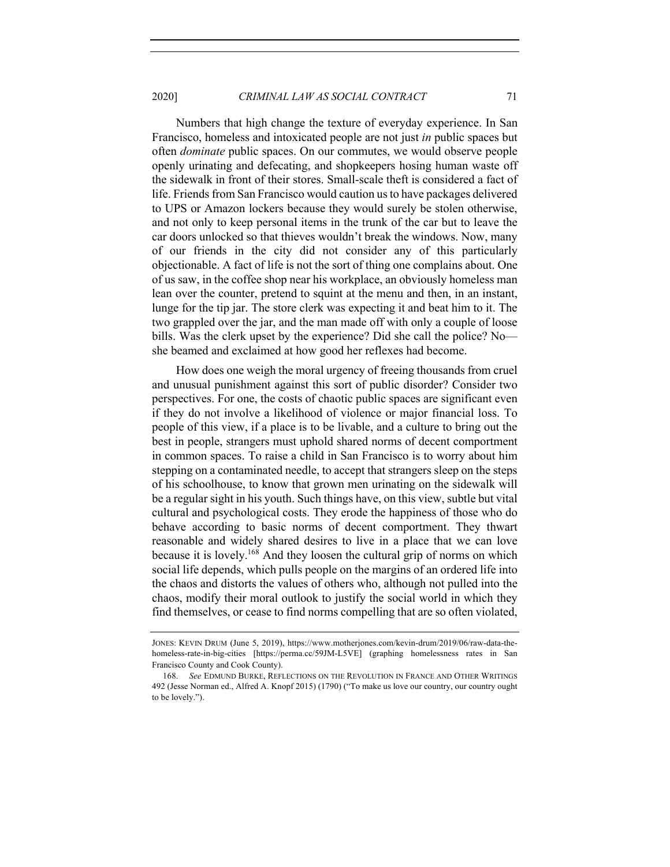Numbers that high change the texture of everyday experience. In San Francisco, homeless and intoxicated people are not just *in* public spaces but often *dominate* public spaces. On our commutes, we would observe people openly urinating and defecating, and shopkeepers hosing human waste off the sidewalk in front of their stores. Small-scale theft is considered a fact of life. Friends from San Francisco would caution us to have packages delivered to UPS or Amazon lockers because they would surely be stolen otherwise, and not only to keep personal items in the trunk of the car but to leave the car doors unlocked so that thieves wouldn't break the windows. Now, many of our friends in the city did not consider any of this particularly objectionable. A fact of life is not the sort of thing one complains about. One of us saw, in the coffee shop near his workplace, an obviously homeless man lean over the counter, pretend to squint at the menu and then, in an instant, lunge for the tip jar. The store clerk was expecting it and beat him to it. The two grappled over the jar, and the man made off with only a couple of loose bills. Was the clerk upset by the experience? Did she call the police? No she beamed and exclaimed at how good her reflexes had become.

How does one weigh the moral urgency of freeing thousands from cruel and unusual punishment against this sort of public disorder? Consider two perspectives. For one, the costs of chaotic public spaces are significant even if they do not involve a likelihood of violence or major financial loss. To people of this view, if a place is to be livable, and a culture to bring out the best in people, strangers must uphold shared norms of decent comportment in common spaces. To raise a child in San Francisco is to worry about him stepping on a contaminated needle, to accept that strangers sleep on the steps of his schoolhouse, to know that grown men urinating on the sidewalk will be a regular sight in his youth. Such things have, on this view, subtle but vital cultural and psychological costs. They erode the happiness of those who do behave according to basic norms of decent comportment. They thwart reasonable and widely shared desires to live in a place that we can love because it is lovely.<sup>168</sup> And they loosen the cultural grip of norms on which social life depends, which pulls people on the margins of an ordered life into the chaos and distorts the values of others who, although not pulled into the chaos, modify their moral outlook to justify the social world in which they find themselves, or cease to find norms compelling that are so often violated,

JONES: KEVIN DRUM (June 5, 2019), https://www.motherjones.com/kevin-drum/2019/06/raw-data-thehomeless-rate-in-big-cities [https://perma.cc/59JM-L5VE] (graphing homelessness rates in San Francisco County and Cook County).

<sup>168.</sup> *See* EDMUND BURKE, REFLECTIONS ON THE REVOLUTION IN FRANCE AND OTHER WRITINGS 492 (Jesse Norman ed., Alfred A. Knopf 2015) (1790) ("To make us love our country, our country ought to be lovely.").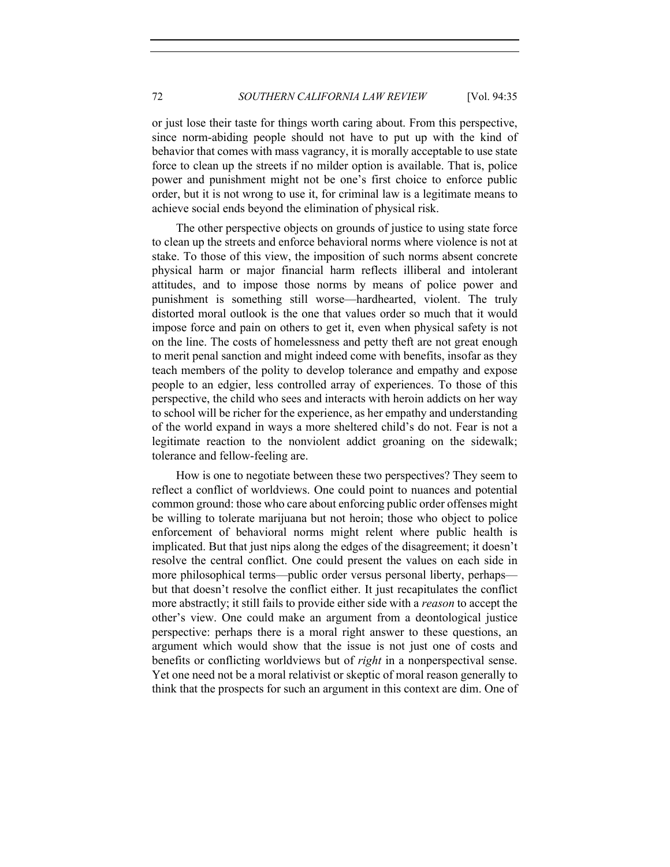or just lose their taste for things worth caring about. From this perspective, since norm-abiding people should not have to put up with the kind of behavior that comes with mass vagrancy, it is morally acceptable to use state force to clean up the streets if no milder option is available. That is, police power and punishment might not be one's first choice to enforce public order, but it is not wrong to use it, for criminal law is a legitimate means to achieve social ends beyond the elimination of physical risk.

The other perspective objects on grounds of justice to using state force to clean up the streets and enforce behavioral norms where violence is not at stake. To those of this view, the imposition of such norms absent concrete physical harm or major financial harm reflects illiberal and intolerant attitudes, and to impose those norms by means of police power and punishment is something still worse—hardhearted, violent. The truly distorted moral outlook is the one that values order so much that it would impose force and pain on others to get it, even when physical safety is not on the line. The costs of homelessness and petty theft are not great enough to merit penal sanction and might indeed come with benefits, insofar as they teach members of the polity to develop tolerance and empathy and expose people to an edgier, less controlled array of experiences. To those of this perspective, the child who sees and interacts with heroin addicts on her way to school will be richer for the experience, as her empathy and understanding of the world expand in ways a more sheltered child's do not. Fear is not a legitimate reaction to the nonviolent addict groaning on the sidewalk; tolerance and fellow-feeling are.

How is one to negotiate between these two perspectives? They seem to reflect a conflict of worldviews. One could point to nuances and potential common ground: those who care about enforcing public order offenses might be willing to tolerate marijuana but not heroin; those who object to police enforcement of behavioral norms might relent where public health is implicated. But that just nips along the edges of the disagreement; it doesn't resolve the central conflict. One could present the values on each side in more philosophical terms—public order versus personal liberty, perhaps but that doesn't resolve the conflict either. It just recapitulates the conflict more abstractly; it still fails to provide either side with a *reason* to accept the other's view. One could make an argument from a deontological justice perspective: perhaps there is a moral right answer to these questions, an argument which would show that the issue is not just one of costs and benefits or conflicting worldviews but of *right* in a nonperspectival sense. Yet one need not be a moral relativist or skeptic of moral reason generally to think that the prospects for such an argument in this context are dim. One of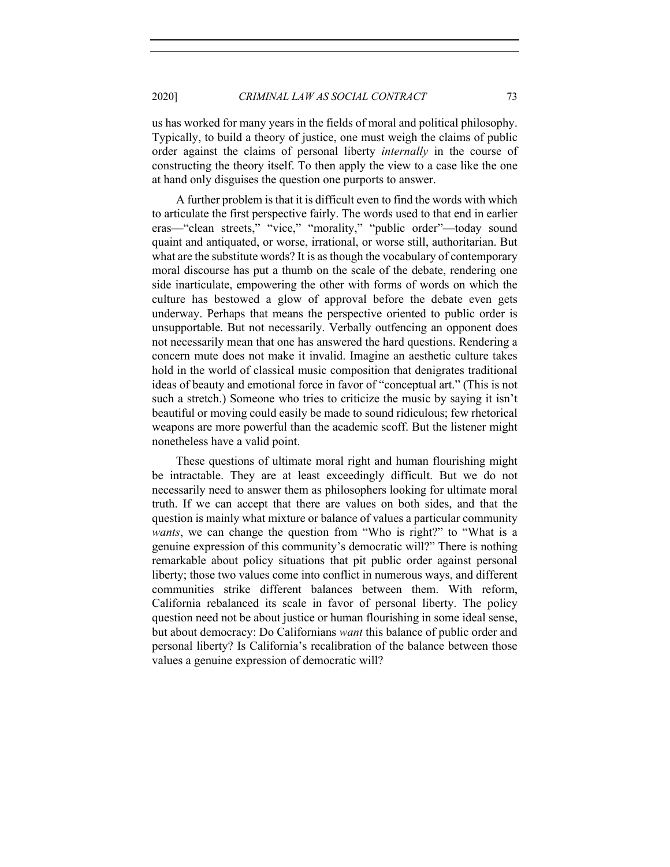us has worked for many years in the fields of moral and political philosophy. Typically, to build a theory of justice, one must weigh the claims of public order against the claims of personal liberty *internally* in the course of constructing the theory itself. To then apply the view to a case like the one at hand only disguises the question one purports to answer.

A further problem is that it is difficult even to find the words with which to articulate the first perspective fairly. The words used to that end in earlier eras—"clean streets," "vice," "morality," "public order"—today sound quaint and antiquated, or worse, irrational, or worse still, authoritarian. But what are the substitute words? It is as though the vocabulary of contemporary moral discourse has put a thumb on the scale of the debate, rendering one side inarticulate, empowering the other with forms of words on which the culture has bestowed a glow of approval before the debate even gets underway. Perhaps that means the perspective oriented to public order is unsupportable. But not necessarily. Verbally outfencing an opponent does not necessarily mean that one has answered the hard questions. Rendering a concern mute does not make it invalid. Imagine an aesthetic culture takes hold in the world of classical music composition that denigrates traditional ideas of beauty and emotional force in favor of "conceptual art." (This is not such a stretch.) Someone who tries to criticize the music by saying it isn't beautiful or moving could easily be made to sound ridiculous; few rhetorical weapons are more powerful than the academic scoff. But the listener might nonetheless have a valid point.

These questions of ultimate moral right and human flourishing might be intractable. They are at least exceedingly difficult. But we do not necessarily need to answer them as philosophers looking for ultimate moral truth. If we can accept that there are values on both sides, and that the question is mainly what mixture or balance of values a particular community *wants*, we can change the question from "Who is right?" to "What is a genuine expression of this community's democratic will?" There is nothing remarkable about policy situations that pit public order against personal liberty; those two values come into conflict in numerous ways, and different communities strike different balances between them. With reform, California rebalanced its scale in favor of personal liberty. The policy question need not be about justice or human flourishing in some ideal sense, but about democracy: Do Californians *want* this balance of public order and personal liberty? Is California's recalibration of the balance between those values a genuine expression of democratic will?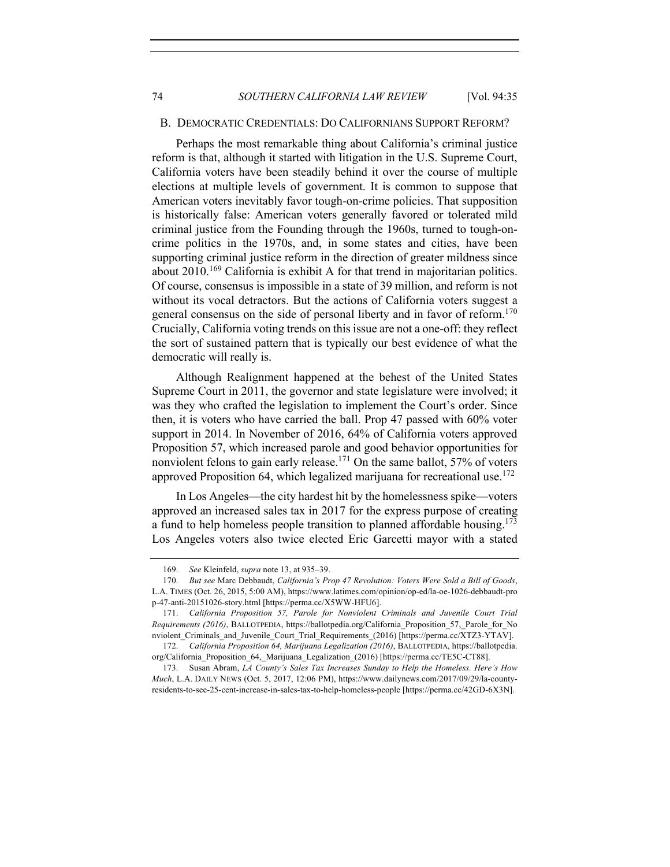#### B. DEMOCRATIC CREDENTIALS: DO CALIFORNIANS SUPPORT REFORM?

Perhaps the most remarkable thing about California's criminal justice reform is that, although it started with litigation in the U.S. Supreme Court, California voters have been steadily behind it over the course of multiple elections at multiple levels of government. It is common to suppose that American voters inevitably favor tough-on-crime policies. That supposition is historically false: American voters generally favored or tolerated mild criminal justice from the Founding through the 1960s, turned to tough-oncrime politics in the 1970s, and, in some states and cities, have been supporting criminal justice reform in the direction of greater mildness since about 2010.<sup>169</sup> California is exhibit A for that trend in majoritarian politics. Of course, consensus is impossible in a state of 39 million, and reform is not without its vocal detractors. But the actions of California voters suggest a general consensus on the side of personal liberty and in favor of reform.<sup>170</sup> Crucially, California voting trends on this issue are not a one-off: they reflect the sort of sustained pattern that is typically our best evidence of what the democratic will really is.

Although Realignment happened at the behest of the United States Supreme Court in 2011, the governor and state legislature were involved; it was they who crafted the legislation to implement the Court's order. Since then, it is voters who have carried the ball. Prop 47 passed with 60% voter support in 2014. In November of 2016, 64% of California voters approved Proposition 57, which increased parole and good behavior opportunities for nonviolent felons to gain early release.<sup>171</sup> On the same ballot, 57% of voters approved Proposition 64, which legalized marijuana for recreational use.<sup>172</sup>

In Los Angeles—the city hardest hit by the homelessness spike—voters approved an increased sales tax in 2017 for the express purpose of creating a fund to help homeless people transition to planned affordable housing.<sup>173</sup> Los Angeles voters also twice elected Eric Garcetti mayor with a stated

<sup>169.</sup> *See* Kleinfeld, *supra* note 13, at 935–39.

<sup>170.</sup> *But see* Marc Debbaudt, *California's Prop 47 Revolution: Voters Were Sold a Bill of Goods*, L.A. TIMES (Oct. 26, 2015, 5:00 AM), https://www.latimes.com/opinion/op-ed/la-oe-1026-debbaudt-pro p-47-anti-20151026-story.html [https://perma.cc/X5WW-HFU6].

<sup>171.</sup> *California Proposition 57, Parole for Nonviolent Criminals and Juvenile Court Trial Requirements (2016)*, BALLOTPEDIA, https://ballotpedia.org/California\_Proposition\_57,\_Parole\_for\_No nviolent Criminals and Juvenile Court Trial Requirements (2016) [https://perma.cc/XTZ3-YTAV].

<sup>172.</sup> *California Proposition 64, Marijuana Legalization (2016)*, BALLOTPEDIA, https://ballotpedia. org/California\_Proposition\_64,\_Marijuana\_Legalization\_(2016) [https://perma.cc/TE5C-CT88].

<sup>173.</sup> Susan Abram, *LA County's Sales Tax Increases Sunday to Help the Homeless. Here's How Much*, L.A. DAILY NEWS (Oct. 5, 2017, 12:06 PM), https://www.dailynews.com/2017/09/29/la-countyresidents-to-see-25-cent-increase-in-sales-tax-to-help-homeless-people [https://perma.cc/42GD-6X3N].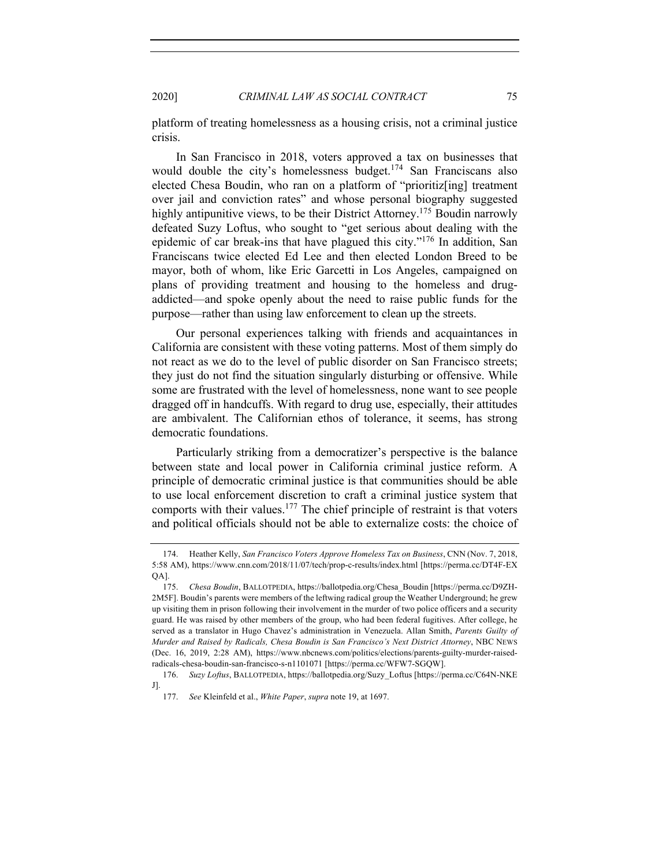platform of treating homelessness as a housing crisis, not a criminal justice crisis.

In San Francisco in 2018, voters approved a tax on businesses that would double the city's homelessness budget.<sup>174</sup> San Franciscans also elected Chesa Boudin, who ran on a platform of "prioritiz[ing] treatment over jail and conviction rates" and whose personal biography suggested highly antipunitive views, to be their District Attorney.<sup>175</sup> Boudin narrowly defeated Suzy Loftus, who sought to "get serious about dealing with the epidemic of car break-ins that have plagued this city."<sup>176</sup> In addition, San Franciscans twice elected Ed Lee and then elected London Breed to be mayor, both of whom, like Eric Garcetti in Los Angeles, campaigned on plans of providing treatment and housing to the homeless and drugaddicted—and spoke openly about the need to raise public funds for the purpose—rather than using law enforcement to clean up the streets.

Our personal experiences talking with friends and acquaintances in California are consistent with these voting patterns. Most of them simply do not react as we do to the level of public disorder on San Francisco streets; they just do not find the situation singularly disturbing or offensive. While some are frustrated with the level of homelessness, none want to see people dragged off in handcuffs. With regard to drug use, especially, their attitudes are ambivalent. The Californian ethos of tolerance, it seems, has strong democratic foundations.

Particularly striking from a democratizer's perspective is the balance between state and local power in California criminal justice reform. A principle of democratic criminal justice is that communities should be able to use local enforcement discretion to craft a criminal justice system that comports with their values.<sup>177</sup> The chief principle of restraint is that voters and political officials should not be able to externalize costs: the choice of

<sup>174.</sup> Heather Kelly, *San Francisco Voters Approve Homeless Tax on Business*, CNN (Nov. 7, 2018, 5:58 AM), https://www.cnn.com/2018/11/07/tech/prop-c-results/index.html [https://perma.cc/DT4F-EX QA].

<sup>175.</sup> *Chesa Boudin*, BALLOTPEDIA, https://ballotpedia.org/Chesa\_Boudin [https://perma.cc/D9ZH-2M5F]. Boudin's parents were members of the leftwing radical group the Weather Underground; he grew up visiting them in prison following their involvement in the murder of two police officers and a security guard. He was raised by other members of the group, who had been federal fugitives. After college, he served as a translator in Hugo Chavez's administration in Venezuela. Allan Smith, *Parents Guilty of Murder and Raised by Radicals, Chesa Boudin is San Francisco's Next District Attorney*, NBC NEWS (Dec. 16, 2019, 2:28 AM), https://www.nbcnews.com/politics/elections/parents-guilty-murder-raisedradicals-chesa-boudin-san-francisco-s-n1101071 [https://perma.cc/WFW7-SGQW].

<sup>176.</sup> *Suzy Loftus*, BALLOTPEDIA, https://ballotpedia.org/Suzy\_Loftus [https://perma.cc/C64N-NKE J].

<sup>177.</sup> *See* Kleinfeld et al., *White Paper*, *supra* note 19, at 1697.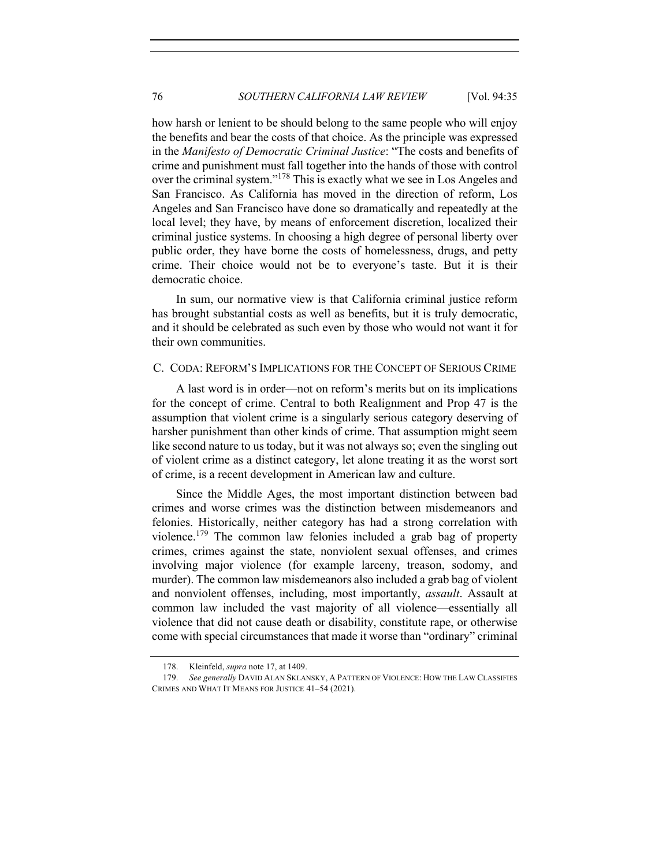how harsh or lenient to be should belong to the same people who will enjoy the benefits and bear the costs of that choice. As the principle was expressed in the *Manifesto of Democratic Criminal Justice*: "The costs and benefits of crime and punishment must fall together into the hands of those with control over the criminal system."<sup>178</sup> This is exactly what we see in Los Angeles and San Francisco. As California has moved in the direction of reform, Los Angeles and San Francisco have done so dramatically and repeatedly at the local level; they have, by means of enforcement discretion, localized their criminal justice systems. In choosing a high degree of personal liberty over public order, they have borne the costs of homelessness, drugs, and petty crime. Their choice would not be to everyone's taste. But it is their democratic choice.

In sum, our normative view is that California criminal justice reform has brought substantial costs as well as benefits, but it is truly democratic, and it should be celebrated as such even by those who would not want it for their own communities.

## C. CODA: REFORM'S IMPLICATIONS FOR THE CONCEPT OF SERIOUS CRIME

A last word is in order—not on reform's merits but on its implications for the concept of crime. Central to both Realignment and Prop 47 is the assumption that violent crime is a singularly serious category deserving of harsher punishment than other kinds of crime. That assumption might seem like second nature to us today, but it was not always so; even the singling out of violent crime as a distinct category, let alone treating it as the worst sort of crime, is a recent development in American law and culture.

Since the Middle Ages, the most important distinction between bad crimes and worse crimes was the distinction between misdemeanors and felonies. Historically, neither category has had a strong correlation with violence.<sup>179</sup> The common law felonies included a grab bag of property crimes, crimes against the state, nonviolent sexual offenses, and crimes involving major violence (for example larceny, treason, sodomy, and murder). The common law misdemeanors also included a grab bag of violent and nonviolent offenses, including, most importantly, *assault*. Assault at common law included the vast majority of all violence—essentially all violence that did not cause death or disability, constitute rape, or otherwise come with special circumstances that made it worse than "ordinary" criminal

<sup>178.</sup> Kleinfeld, *supra* note 17, at 1409.

<sup>179.</sup> *See generally* DAVID ALAN SKLANSKY, A PATTERN OF VIOLENCE: HOW THE LAW CLASSIFIES CRIMES AND WHAT IT MEANS FOR JUSTICE 41–54 (2021).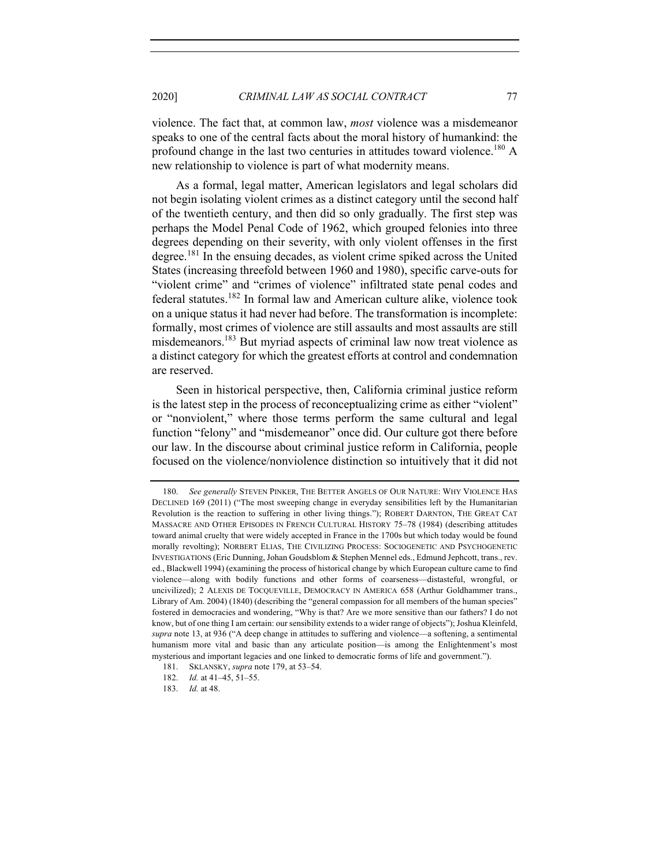violence. The fact that, at common law, *most* violence was a misdemeanor speaks to one of the central facts about the moral history of humankind: the profound change in the last two centuries in attitudes toward violence.<sup>180</sup> A new relationship to violence is part of what modernity means.

As a formal, legal matter, American legislators and legal scholars did not begin isolating violent crimes as a distinct category until the second half of the twentieth century, and then did so only gradually. The first step was perhaps the Model Penal Code of 1962, which grouped felonies into three degrees depending on their severity, with only violent offenses in the first degree.<sup>181</sup> In the ensuing decades, as violent crime spiked across the United States (increasing threefold between 1960 and 1980), specific carve-outs for "violent crime" and "crimes of violence" infiltrated state penal codes and federal statutes. <sup>182</sup> In formal law and American culture alike, violence took on a unique status it had never had before. The transformation is incomplete: formally, most crimes of violence are still assaults and most assaults are still misdemeanors.<sup>183</sup> But myriad aspects of criminal law now treat violence as a distinct category for which the greatest efforts at control and condemnation are reserved.

Seen in historical perspective, then, California criminal justice reform is the latest step in the process of reconceptualizing crime as either "violent" or "nonviolent," where those terms perform the same cultural and legal function "felony" and "misdemeanor" once did. Our culture got there before our law. In the discourse about criminal justice reform in California, people focused on the violence/nonviolence distinction so intuitively that it did not

<sup>180.</sup> *See generally* STEVEN PINKER, THE BETTER ANGELS OF OUR NATURE: WHY VIOLENCE HAS DECLINED 169 (2011) ("The most sweeping change in everyday sensibilities left by the Humanitarian Revolution is the reaction to suffering in other living things."); ROBERT DARNTON, THE GREAT CAT MASSACRE AND OTHER EPISODES IN FRENCH CULTURAL HISTORY 75–78 (1984) (describing attitudes toward animal cruelty that were widely accepted in France in the 1700s but which today would be found morally revolting); NORBERT ELIAS, THE CIVILIZING PROCESS: SOCIOGENETIC AND PSYCHOGENETIC INVESTIGATIONS (Eric Dunning, Johan Goudsblom & Stephen Mennel eds., Edmund Jephcott, trans., rev. ed., Blackwell 1994) (examining the process of historical change by which European culture came to find violence—along with bodily functions and other forms of coarseness—distasteful, wrongful, or uncivilized); 2 ALEXIS DE TOCQUEVILLE, DEMOCRACY IN AMERICA 658 (Arthur Goldhammer trans., Library of Am. 2004) (1840) (describing the "general compassion for all members of the human species" fostered in democracies and wondering, "Why is that? Are we more sensitive than our fathers? I do not know, but of one thing I am certain: our sensibility extends to a wider range of objects"); Joshua Kleinfeld, *supra* note 13, at 936 ("A deep change in attitudes to suffering and violence—a softening, a sentimental humanism more vital and basic than any articulate position—is among the Enlightenment's most mysterious and important legacies and one linked to democratic forms of life and government.").

<sup>181.</sup> SKLANSKY, *supra* note 179, at 53–54.

<sup>182.</sup> *Id.* at 41–45, 51–55.

<sup>183.</sup> *Id.* at 48.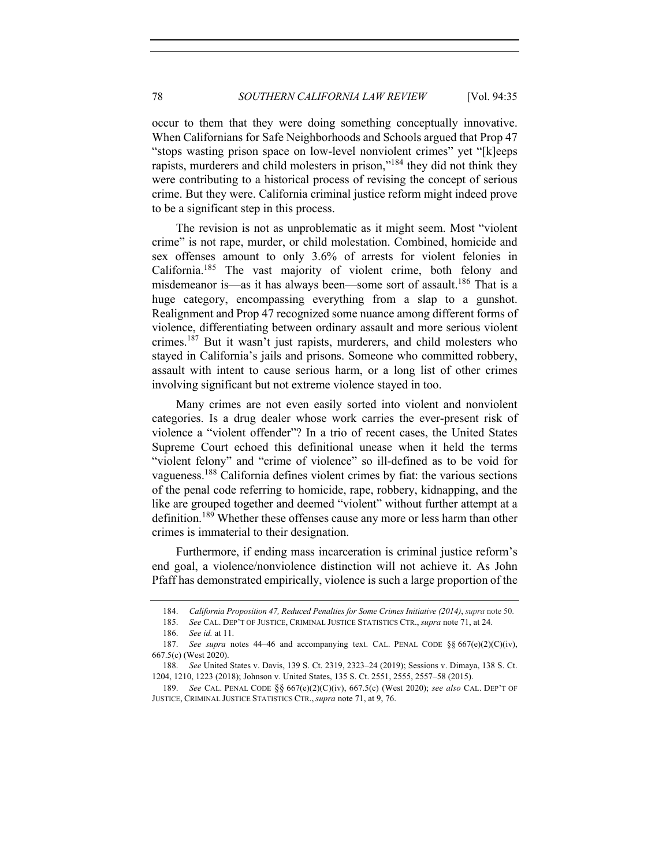occur to them that they were doing something conceptually innovative. When Californians for Safe Neighborhoods and Schools argued that Prop 47 "stops wasting prison space on low-level nonviolent crimes" yet "[k]eeps rapists, murderers and child molesters in prison,"<sup>184</sup> they did not think they were contributing to a historical process of revising the concept of serious crime. But they were. California criminal justice reform might indeed prove to be a significant step in this process.

The revision is not as unproblematic as it might seem. Most "violent crime" is not rape, murder, or child molestation. Combined, homicide and sex offenses amount to only 3.6% of arrests for violent felonies in California.185 The vast majority of violent crime, both felony and misdemeanor is—as it has always been—some sort of assault.<sup>186</sup> That is a huge category, encompassing everything from a slap to a gunshot. Realignment and Prop 47 recognized some nuance among different forms of violence, differentiating between ordinary assault and more serious violent crimes.<sup>187</sup> But it wasn't just rapists, murderers, and child molesters who stayed in California's jails and prisons. Someone who committed robbery, assault with intent to cause serious harm, or a long list of other crimes involving significant but not extreme violence stayed in too.

Many crimes are not even easily sorted into violent and nonviolent categories. Is a drug dealer whose work carries the ever-present risk of violence a "violent offender"? In a trio of recent cases, the United States Supreme Court echoed this definitional unease when it held the terms "violent felony" and "crime of violence" so ill-defined as to be void for vagueness.<sup>188</sup> California defines violent crimes by fiat: the various sections of the penal code referring to homicide, rape, robbery, kidnapping, and the like are grouped together and deemed "violent" without further attempt at a definition.<sup>189</sup> Whether these offenses cause any more or less harm than other crimes is immaterial to their designation.

Furthermore, if ending mass incarceration is criminal justice reform's end goal, a violence/nonviolence distinction will not achieve it. As John Pfaff has demonstrated empirically, violence is such a large proportion of the

<sup>184.</sup> *California Proposition 47, Reduced Penalties for Some Crimes Initiative (2014)*, *supra* note 50.

<sup>185.</sup> *See* CAL. DEP'T OF JUSTICE, CRIMINAL JUSTICE STATISTICS CTR., *supra* note 71, at 24.

<sup>186.</sup> *See id.* at 11.

<sup>187.</sup> *See supra* notes 44–46 and accompanying text. CAL. PENAL CODE §§ 667(e)(2)(C)(iv), 667.5(c) (West 2020).

<sup>188.</sup> *See* United States v. Davis, 139 S. Ct. 2319, 2323–24 (2019); Sessions v. Dimaya, 138 S. Ct. 1204, 1210, 1223 (2018); Johnson v. United States, 135 S. Ct. 2551, 2555, 2557–58 (2015).

<sup>189.</sup> *See* CAL. PENAL CODE §§ 667(e)(2)(C)(iv), 667.5(c) (West 2020); *see also* CAL. DEP'T OF JUSTICE, CRIMINAL JUSTICE STATISTICS CTR., *supra* note 71, at 9, 76.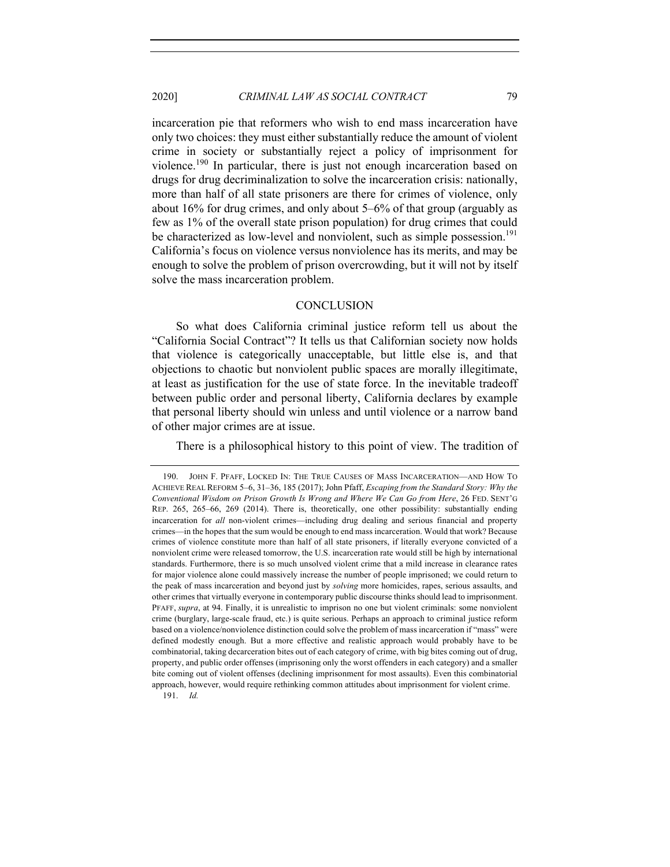incarceration pie that reformers who wish to end mass incarceration have only two choices: they must either substantially reduce the amount of violent crime in society or substantially reject a policy of imprisonment for violence.<sup>190</sup> In particular, there is just not enough incarceration based on drugs for drug decriminalization to solve the incarceration crisis: nationally, more than half of all state prisoners are there for crimes of violence, only about 16% for drug crimes, and only about 5–6% of that group (arguably as few as 1% of the overall state prison population) for drug crimes that could be characterized as low-level and nonviolent, such as simple possession.<sup>191</sup> California's focus on violence versus nonviolence has its merits, and may be enough to solve the problem of prison overcrowding, but it will not by itself solve the mass incarceration problem.

## **CONCLUSION**

So what does California criminal justice reform tell us about the "California Social Contract"? It tells us that Californian society now holds that violence is categorically unacceptable, but little else is, and that objections to chaotic but nonviolent public spaces are morally illegitimate, at least as justification for the use of state force. In the inevitable tradeoff between public order and personal liberty, California declares by example that personal liberty should win unless and until violence or a narrow band of other major crimes are at issue.

There is a philosophical history to this point of view. The tradition of

191. *Id.*

<sup>190.</sup> JOHN F. PFAFF, LOCKED IN: THE TRUE CAUSES OF MASS INCARCERATION—AND HOW TO ACHIEVE REAL REFORM 5–6, 31–36, 185 (2017); John Pfaff, *Escaping from the Standard Story: Why the Conventional Wisdom on Prison Growth Is Wrong and Where We Can Go from Here*, 26 FED. SENT'G REP. 265, 265–66, 269 (2014). There is, theoretically, one other possibility: substantially ending incarceration for *all* non-violent crimes—including drug dealing and serious financial and property crimes—in the hopes that the sum would be enough to end mass incarceration. Would that work? Because crimes of violence constitute more than half of all state prisoners, if literally everyone convicted of a nonviolent crime were released tomorrow, the U.S. incarceration rate would still be high by international standards. Furthermore, there is so much unsolved violent crime that a mild increase in clearance rates for major violence alone could massively increase the number of people imprisoned; we could return to the peak of mass incarceration and beyond just by *solving* more homicides, rapes, serious assaults, and other crimes that virtually everyone in contemporary public discourse thinks should lead to imprisonment. PFAFF, *supra*, at 94. Finally, it is unrealistic to imprison no one but violent criminals: some nonviolent crime (burglary, large-scale fraud, etc.) is quite serious. Perhaps an approach to criminal justice reform based on a violence/nonviolence distinction could solve the problem of mass incarceration if "mass" were defined modestly enough. But a more effective and realistic approach would probably have to be combinatorial, taking decarceration bites out of each category of crime, with big bites coming out of drug, property, and public order offenses (imprisoning only the worst offenders in each category) and a smaller bite coming out of violent offenses (declining imprisonment for most assaults). Even this combinatorial approach, however, would require rethinking common attitudes about imprisonment for violent crime.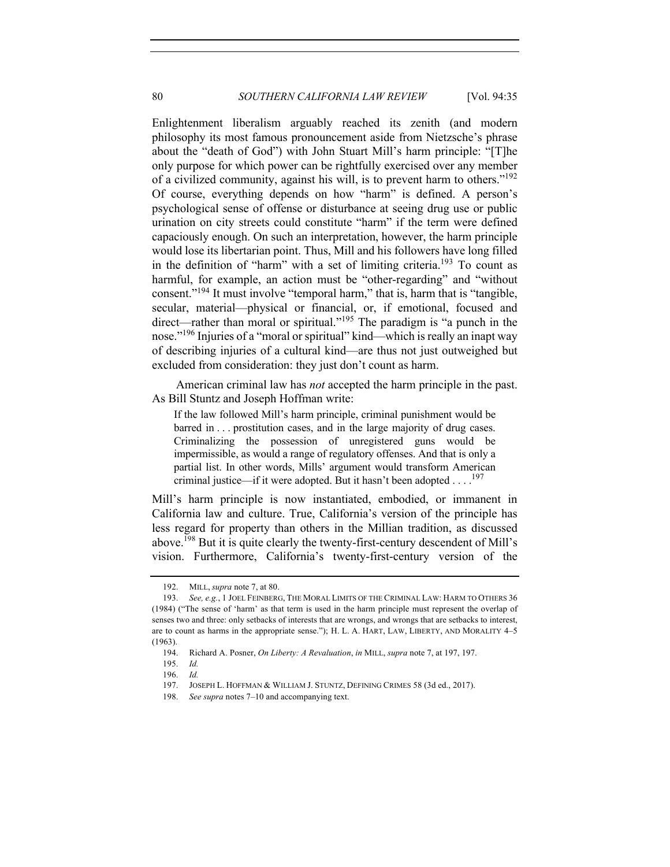Enlightenment liberalism arguably reached its zenith (and modern philosophy its most famous pronouncement aside from Nietzsche's phrase about the "death of God") with John Stuart Mill's harm principle: "[T]he only purpose for which power can be rightfully exercised over any member of a civilized community, against his will, is to prevent harm to others."<sup>192</sup> Of course, everything depends on how "harm" is defined. A person's psychological sense of offense or disturbance at seeing drug use or public urination on city streets could constitute "harm" if the term were defined capaciously enough. On such an interpretation, however, the harm principle would lose its libertarian point. Thus, Mill and his followers have long filled in the definition of "harm" with a set of limiting criteria.<sup>193</sup> To count as harmful, for example, an action must be "other-regarding" and "without consent."<sup>194</sup> It must involve "temporal harm," that is, harm that is "tangible, secular, material—physical or financial, or, if emotional, focused and direct—rather than moral or spiritual."<sup>195</sup> The paradigm is "a punch in the nose."<sup>196</sup> Injuries of a "moral or spiritual" kind—which is really an inapt way of describing injuries of a cultural kind—are thus not just outweighed but excluded from consideration: they just don't count as harm.

American criminal law has *not* accepted the harm principle in the past. As Bill Stuntz and Joseph Hoffman write:

If the law followed Mill's harm principle, criminal punishment would be barred in . . . prostitution cases, and in the large majority of drug cases. Criminalizing the possession of unregistered guns would be impermissible, as would a range of regulatory offenses. And that is only a partial list. In other words, Mills' argument would transform American criminal justice—if it were adopted. But it hasn't been adopted . . . .<sup>197</sup>

Mill's harm principle is now instantiated, embodied, or immanent in California law and culture. True, California's version of the principle has less regard for property than others in the Millian tradition, as discussed above. <sup>198</sup> But it is quite clearly the twenty-first-century descendent of Mill's vision. Furthermore, California's twenty-first-century version of the

<sup>192.</sup> MILL, *supra* note 7, at 80.

<sup>193.</sup> *See, e.g.*, 1 JOEL FEINBERG, THE MORAL LIMITS OF THE CRIMINAL LAW: HARM TO OTHERS 36 (1984) ("The sense of 'harm' as that term is used in the harm principle must represent the overlap of senses two and three: only setbacks of interests that are wrongs, and wrongs that are setbacks to interest, are to count as harms in the appropriate sense."); H. L. A. HART, LAW, LIBERTY, AND MORALITY 4–5 (1963).

<sup>194.</sup> Richard A. Posner, *On Liberty: A Revaluation*, *in* MILL, *supra* note 7, at 197, 197.

<sup>195.</sup> *Id.*

<sup>196.</sup> *Id.*

<sup>197.</sup> JOSEPH L. HOFFMAN & WILLIAM J. STUNTZ, DEFINING CRIMES 58 (3d ed., 2017).

<sup>198.</sup> *See supra* notes 7–10 and accompanying text.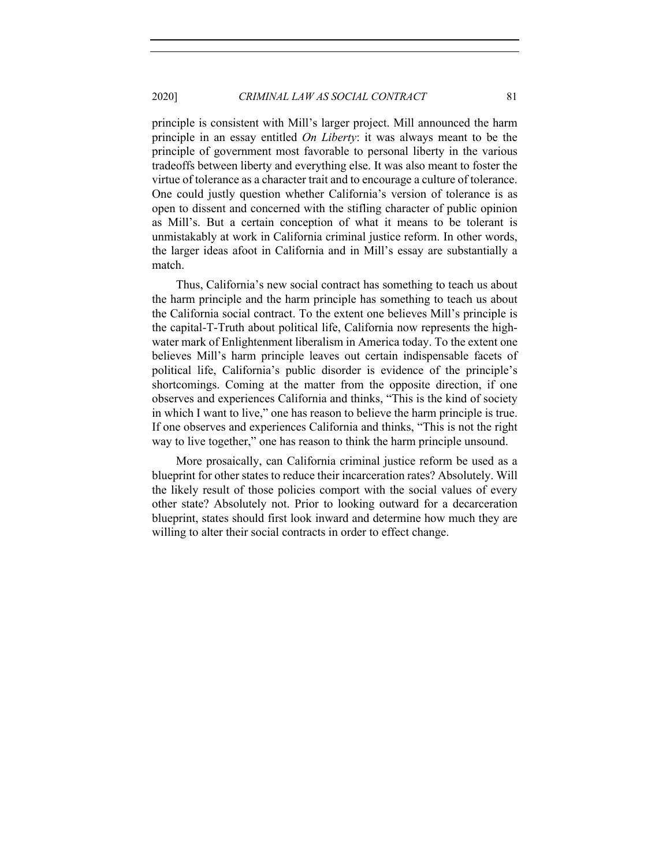principle is consistent with Mill's larger project. Mill announced the harm principle in an essay entitled *On Liberty*: it was always meant to be the principle of government most favorable to personal liberty in the various tradeoffs between liberty and everything else. It was also meant to foster the virtue of tolerance as a character trait and to encourage a culture of tolerance. One could justly question whether California's version of tolerance is as open to dissent and concerned with the stifling character of public opinion as Mill's. But a certain conception of what it means to be tolerant is unmistakably at work in California criminal justice reform. In other words, the larger ideas afoot in California and in Mill's essay are substantially a match.

Thus, California's new social contract has something to teach us about the harm principle and the harm principle has something to teach us about the California social contract. To the extent one believes Mill's principle is the capital-T-Truth about political life, California now represents the highwater mark of Enlightenment liberalism in America today. To the extent one believes Mill's harm principle leaves out certain indispensable facets of political life, California's public disorder is evidence of the principle's shortcomings. Coming at the matter from the opposite direction, if one observes and experiences California and thinks, "This is the kind of society in which I want to live," one has reason to believe the harm principle is true. If one observes and experiences California and thinks, "This is not the right way to live together," one has reason to think the harm principle unsound.

More prosaically, can California criminal justice reform be used as a blueprint for other states to reduce their incarceration rates? Absolutely. Will the likely result of those policies comport with the social values of every other state? Absolutely not. Prior to looking outward for a decarceration blueprint, states should first look inward and determine how much they are willing to alter their social contracts in order to effect change.